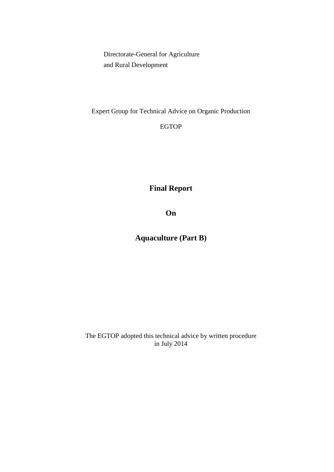Directorate-General for Agriculture and Rural Development

Expert Group for Technical Advice on Organic Production

EGTOP

**Final Report**

**On** 

**Aquaculture (Part B)**

The EGTOP adopted this technical advice by written procedure in July 2014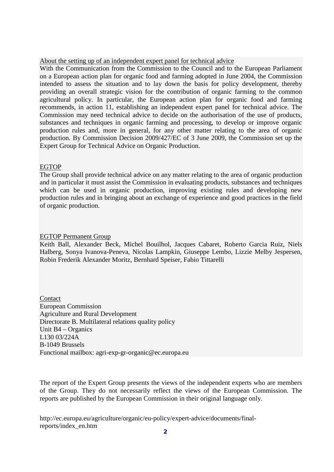### About the setting up of an independent expert panel for technical advice

With the Communication from the Commission to the Council and to the European Parliament on a European action plan for organic food and farming adopted in June 2004, the Commission intended to assess the situation and to lay down the basis for policy development, thereby providing an overall strategic vision for the contribution of organic farming to the common agricultural policy. In particular, the European action plan for organic food and farming recommends, in action 11, establishing an independent expert panel for technical advice. The Commission may need technical advice to decide on the authorisation of the use of products, substances and techniques in organic farming and processing, to develop or improve organic production rules and, more in general, for any other matter relating to the area of organic production. By Commission Decision 2009/427/EC of 3 June 2009, the Commission set up the Expert Group for Technical Advice on Organic Production.

## EGTOP

The Group shall provide technical advice on any matter relating to the area of organic production and in particular it must assist the Commission in evaluating products, substances and techniques which can be used in organic production, improving existing rules and developing new production rules and in bringing about an exchange of experience and good practices in the field of organic production.

### EGTOP Permanent Group

Keith Ball, Alexander Beck, Michel Bouilhol, Jacques Cabaret, Roberto Garcia Ruiz, Niels Halberg, Sonya Ivanova-Peneva, Nicolas Lampkin, Giuseppe Lembo, Lizzie Melby Jespersen, Robin Frederik Alexander Moritz, Bernhard Speiser, Fabio Tittarelli

Contact European Commission Agriculture and Rural Development Directorate B. Multilateral relations quality policy Unit B4 – Organics L130 03/224A B-1049 Brussels Functional mailbox: agri-exp-gr-organic@ec.europa.eu

The report of the Expert Group presents the views of the independent experts who are members of the Group. They do not necessarily reflect the views of the European Commission. The reports are published by the European Commission in their original language only.

http://ec.europa.eu/agriculture/organic/eu-policy/expert-advice/documents/finalreports/index\_en.htm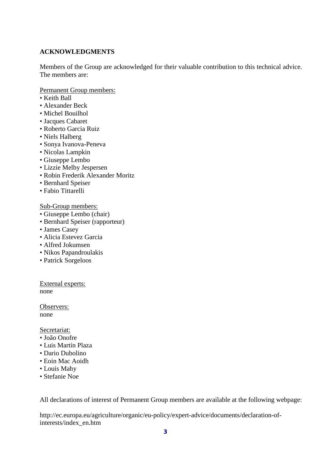# **ACKNOWLEDGMENTS**

Members of the Group are acknowledged for their valuable contribution to this technical advice. The members are:

Permanent Group members:

- Keith Ball
- Alexander Beck
- Michel Bouilhol
- Jacques Cabaret
- Roberto Garcia Ruiz
- Niels Halberg
- Sonya Ivanova-Peneva
- Nicolas Lampkin
- Giuseppe Lembo
- Lizzie Melby Jespersen
- Robin Frederik Alexander Moritz
- Bernhard Speiser
- Fabio Tittarelli

Sub-Group members:

- Giuseppe Lembo (chair)
- Bernhard Speiser (rapporteur)
- James Casey
- Alicia Estevez Garcia
- Alfred Jokumsen
- Nikos Papandroulakis
- Patrick Sorgeloos

External experts: none

Observers: none

Secretariat:

- João Onofre
- Luis Martín Plaza
- Dario Dubolino
- Eoin Mac Aoidh
- Louis Mahy
- Stefanie Noe

All declarations of interest of Permanent Group members are available at the following webpage:

http://ec.europa.eu/agriculture/organic/eu-policy/expert-advice/documents/declaration-ofinterests/index\_en.htm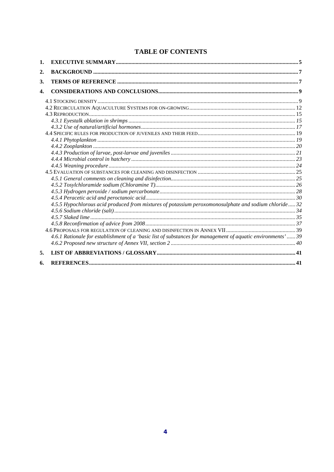# **TABLE OF CONTENTS**

| 2.<br>3.<br>4.<br>4.5.5 Hypochlorous acid produced from mixtures of potassium peroxomonosulphate and sodium chloride 32<br>4.6.1 Rationale for establishment of a 'basic list of substances for management of aquatic environments'  39 |  |
|-----------------------------------------------------------------------------------------------------------------------------------------------------------------------------------------------------------------------------------------|--|
|                                                                                                                                                                                                                                         |  |
|                                                                                                                                                                                                                                         |  |
|                                                                                                                                                                                                                                         |  |
|                                                                                                                                                                                                                                         |  |
|                                                                                                                                                                                                                                         |  |
|                                                                                                                                                                                                                                         |  |
|                                                                                                                                                                                                                                         |  |
|                                                                                                                                                                                                                                         |  |
|                                                                                                                                                                                                                                         |  |
|                                                                                                                                                                                                                                         |  |
|                                                                                                                                                                                                                                         |  |
|                                                                                                                                                                                                                                         |  |
|                                                                                                                                                                                                                                         |  |
|                                                                                                                                                                                                                                         |  |
|                                                                                                                                                                                                                                         |  |
|                                                                                                                                                                                                                                         |  |
|                                                                                                                                                                                                                                         |  |
|                                                                                                                                                                                                                                         |  |
|                                                                                                                                                                                                                                         |  |
|                                                                                                                                                                                                                                         |  |
|                                                                                                                                                                                                                                         |  |
|                                                                                                                                                                                                                                         |  |
|                                                                                                                                                                                                                                         |  |
|                                                                                                                                                                                                                                         |  |
|                                                                                                                                                                                                                                         |  |
|                                                                                                                                                                                                                                         |  |
| 5.                                                                                                                                                                                                                                      |  |
| 6.                                                                                                                                                                                                                                      |  |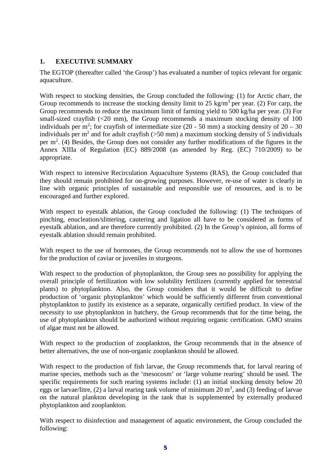# **1. EXECUTIVE SUMMARY**

The EGTOP (thereafter called 'the Group') has evaluated a number of topics relevant for organic aquaculture.

With respect to stocking densities, the Group concluded the following: (1) for Arctic charr, the Group recommends to increase the stocking density limit to 25 kg/m<sup>3</sup> per year. (2) For carp, the Group recommends to reduce the maximum limit of farming yield to 500 kg/ha per year. (3) For small-sized crayfish (<20 mm), the Group recommends a maximum stocking density of 100 individuals per m<sup>2</sup>; for crayfish of intermediate size (20 - 50 mm) a stocking density of  $20 - 30$ individuals per  $m^2$  and for adult crayfish ( $>50$  mm) a maximum stocking density of 5 individuals per  $m<sup>2</sup>$ . (4) Besides, the Group does not consider any further modifications of the figures in the Annex XIIIa of Regulation (EC) 889/2008 (as amended by Reg. (EC) 710/2009) to be appropriate.

With respect to intensive Recirculation Aquaculture Systems (RAS), the Group concluded that they should remain prohibited for on-growing purposes. However, re-use of water is clearly in line with organic principles of sustainable and responsible use of resources, and is to be encouraged and further explored.

With respect to eyestalk ablation, the Group concluded the following: (1) The techniques of pinching, enucleation/slittering, cautering and ligation all have to be considered as forms of eyestalk ablation, and are therefore currently prohibited. (2) In the Group's opinion, all forms of eyestalk ablation should remain prohibited.

With respect to the use of hormones, the Group recommends not to allow the use of hormones for the production of caviar or juveniles in sturgeons.

With respect to the production of phytoplankton, the Group sees no possibility for applying the overall principle of fertilization with low solubility fertilizers (currently applied for terrestrial plants) to phytoplankton. Also, the Group considers that it would be difficult to define production of 'organic phytoplankton' which would be sufficiently different from conventional phytoplankton to justify its existence as a separate, organically certified product. In view of the necessity to use phytoplankton in hatchery, the Group recommends that for the time being, the use of phytoplankton should be authorized without requiring organic certification. GMO strains of algae must not be allowed.

With respect to the production of zooplankton, the Group recommends that in the absence of better alternatives, the use of non-organic zooplankton should be allowed.

With respect to the production of fish larvae, the Group recommends that, for larval rearing of marine species, methods such as the 'mesocosm' or 'large volume rearing' should be used. The specific requirements for such rearing systems include: (1) an initial stocking density below 20 eggs or larvae/litre, (2) a larval rearing tank volume of minimum 20  $m<sup>3</sup>$ , and (3) feeding of larvae on the natural plankton developing in the tank that is supplemented by externally produced phytoplankton and zooplankton.

With respect to disinfection and management of aquatic environment, the Group concluded the following: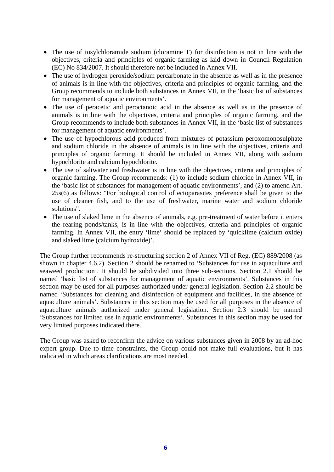- The use of tosylchloramide sodium (cloramine T) for disinfection is not in line with the objectives, criteria and principles of organic farming as laid down in Council Regulation (EC) No 834/2007. It should therefore not be included in Annex VII.
- The use of hydrogen peroxide/sodium percarbonate in the absence as well as in the presence of animals is in line with the objectives, criteria and principles of organic farming, and the Group recommends to include both substances in Annex VII, in the 'basic list of substances for management of aquatic environments'.
- The use of peracetic and peroctanoic acid in the absence as well as in the presence of animals is in line with the objectives, criteria and principles of organic farming, and the Group recommends to include both substances in Annex VII, in the 'basic list of substances for management of aquatic environments'.
- The use of hypochlorous acid produced from mixtures of potassium peroxomonosulphate and sodium chloride in the absence of animals is in line with the objectives, criteria and principles of organic farming. It should be included in Annex VII, along with sodium hypochlorite and calcium hypochlorite.
- The use of saltwater and freshwater is in line with the objectives, criteria and principles of organic farming. The Group recommends: (1) to include sodium chloride in Annex VII, in the 'basic list of substances for management of aquatic environments', and (2) to amend Art. 25s(6) as follows: "For biological control of ectoparasites preference shall be given to the use of cleaner fish, and to the use of freshwater, marine water and sodium chloride solutions".
- The use of slaked lime in the absence of animals, e.g. pre-treatment of water before it enters the rearing ponds/tanks, is in line with the objectives, criteria and principles of organic farming. In Annex VII, the entry 'lime' should be replaced by 'quicklime (calcium oxide) and slaked lime (calcium hydroxide)'.

The Group further recommends re-structuring section 2 of Annex VII of Reg. (EC) 889/2008 (as shown in chapter 4.6.2). Section 2 should be renamed to 'Substances for use in aquaculture and seaweed production'. It should be subdivided into three sub-sections. Section 2.1 should be named 'basic list of substances for management of aquatic environments'. Substances in this section may be used for all purposes authorized under general legislation. Section 2.2 should be named 'Substances for cleaning and disinfection of equipment and facilities, in the absence of aquaculture animals'. Substances in this section may be used for all purposes in the absence of aquaculture animals authorized under general legislation. Section 2.3 should be named 'Substances for limited use in aquatic environments'. Substances in this section may be used for very limited purposes indicated there.

The Group was asked to reconfirm the advice on various substances given in 2008 by an ad-hoc expert group. Due to time constraints, the Group could not make full evaluations, but it has indicated in which areas clarifications are most needed.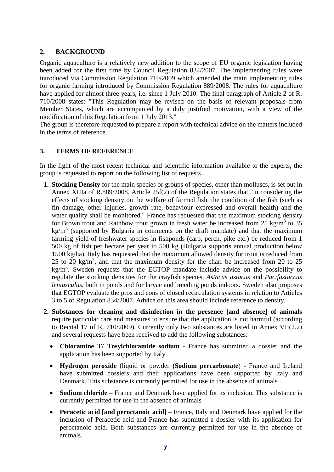# **2. BACKGROUND**

Organic aquaculture is a relatively new addition to the scope of EU organic legislation having been added for the first time by Council Regulation 834/2007. The implementing rules were introduced via Commission Regulation 710/2009 which amended the main implementing rules for organic farming introduced by Commission Regulation 889/2008. The rules for aquaculture have applied for almost three years, i.e. since 1 July 2010. The final paragraph of Article 2 of R. 710/2008 states: "This Regulation may be revised on the basis of relevant proposals from Member States, which are accompanied by a duly justified motivation, with a view of the modification of this Regulation from 1 July 2013."

The group is therefore requested to prepare a report with technical advice on the matters included in the terms of reference.

# **3. TERMS OF REFERENCE**

In the light of the most recent technical and scientific information available to the experts, the group is requested to report on the following list of requests.

- **1. Stocking Density** for the main species or groups of species, other than molluscs, is set out in Annex XIIIa of R.889/2008. Article 25f(2) of the Regulation states that "in considering the effects of stocking density on the welfare of farmed fish, the condition of the fish (such as fin damage, other injuries, growth rate, behaviour expressed and overall health) and the water quality shall be monitored." France has requested that the maximum stocking density for Brown trout and Rainbow trout grown in fresh water be increased from  $25 \text{ kg/m}^3$  to  $35$  $kg/m<sup>3</sup>$  (supported by Bulgaria in comments on the draft mandate) and that the maximum farming yield of freshwater species in fishponds (carp, perch, pike etc.) be reduced from 1 500 kg of fish per hectare per year to 500 kg (Bulgaria supports annual production below 1500 kg/ha). Italy has requested that the maximum allowed density for trout is reduced from 25 to 20 kg/m<sup>3</sup>, and that the maximum density for the charr be increased from 20 to 25  $kg/m<sup>3</sup>$ . Sweden requests that the EGTOP mandate include advice on the possibility to regulate the stocking densities for the crayfish species, *Astacus astacus* and *Pacifastaccus leniusculus*, both in ponds and for larvae and breeding ponds indoors. Sweden also proposes that EGTOP evaluate the pros and cons of closed recirculation systems in relation to Articles 3 to 5 of Regulation 834/2007. Advice on this area should include reference to density.
- **2. Substances for cleaning and disinfection in the presence [and absence] of animals** require particular care and measures to ensure that the application is not harmful (according to Recital 17 of R. 710/2009). Currently only two substances are listed in Annex VII(2.2) and several requests have been received to add the following substances:
	- **Chloramine T/ Tosylchloramide sodium** France has submitted a dossier and the application has been supported by Italy
	- **Hydrogen peroxide** (liquid or powder **(Sodium percarbonate**) France and Ireland have submitted dossiers and their applications have been supported by Italy and Denmark. This substance is currently permitted for use in the absence of animals
	- **Sodium chloride** France and Denmark have applied for its inclusion. This substance is currently permitted for use in the absence of animals
	- **Peracetic acid [and peroctanoic acid]** France, Italy and Denmark have applied for the inclusion of Peracetic acid and France has submitted a dossier with its application for peroctanoic acid. Both substances are currently permitted for use in the absence of animals.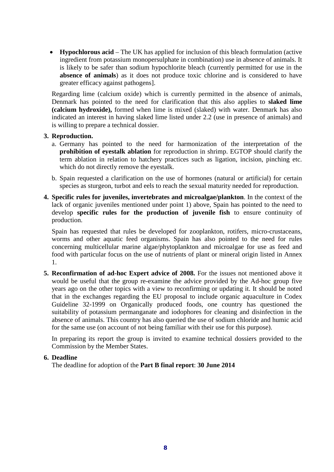• **Hypochlorous acid** – The UK has applied for inclusion of this bleach formulation (active ingredient from potassium monopersulphate in combination) use in absence of animals. It is likely to be safer than sodium hypochlorite bleach (currently permitted for use in the **absence of animals**) as it does not produce toxic chlorine and is considered to have greater efficacy against pathogens].

Regarding lime (calcium oxide) which is currently permitted in the absence of animals, Denmark has pointed to the need for clarification that this also applies to **slaked lime (calcium hydroxide),** formed when lime is mixed (slaked) with water. Denmark has also indicated an interest in having slaked lime listed under 2.2 (use in presence of animals) and is willing to prepare a technical dossier.

## **3. Reproduction.**

- a. Germany has pointed to the need for harmonization of the interpretation of the **prohibition of eyestalk ablation** for reproduction in shrimp. EGTOP should clarify the term ablation in relation to hatchery practices such as ligation, incision, pinching etc. which do not directly remove the eyestalk.
- b. Spain requested a clarification on the use of hormones (natural or artificial) for certain species as sturgeon, turbot and eels to reach the sexual maturity needed for reproduction.
- **4. Specific rules for juveniles, invertebrates and microalgae/plankton**. In the context of the lack of organic juveniles mentioned under point 1) above, Spain has pointed to the need to develop **specific rules for the production of juvenile fish** to ensure continuity of production.

Spain has requested that rules be developed for zooplankton, rotifers, micro-crustaceans, worms and other aquatic feed organisms. Spain has also pointed to the need for rules concerning multicellular marine algae/phytoplankton and microalgae for use as feed and food with particular focus on the use of nutrients of plant or mineral origin listed in Annex 1.

**5. Reconfirmation of ad-hoc Expert advice of 2008.** For the issues not mentioned above it would be useful that the group re-examine the advice provided by the Ad-hoc group five years ago on the other topics with a view to reconfirming or updating it. It should be noted that in the exchanges regarding the EU proposal to include organic aquaculture in Codex Guideline 32-1999 on Organically produced foods, one country has questioned the suitability of potassium permanganate and iodophores for cleaning and disinfection in the absence of animals. This country has also queried the use of sodium chloride and humic acid for the same use (on account of not being familiar with their use for this purpose).

In preparing its report the group is invited to examine technical dossiers provided to the Commission by the Member States.

### **6. Deadline**

The deadline for adoption of the **Part B final report**: **30 June 2014**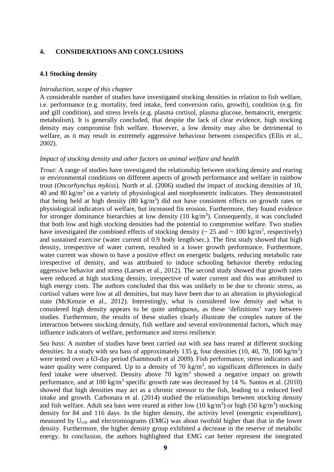### **4. CONSIDERATIONS AND CONCLUSIONS**

#### **4.1 Stocking density**

### *Introduction, scope of this chapter*

A considerable number of studies have investigated stocking densities in relation to fish welfare, i.e. performance (e.g. mortality, feed intake, feed conversion ratio, growth), condition (e.g. fin and gill condition), and stress levels (e.g. plasma cortisol, plasma glucose, hematocrit, energetic metabolism)*.* It is generally concluded, that despite the lack of clear evidence, high stocking density may compromise fish welfare. However, a low density may also be detrimental to welfare, as it may result in extremely aggressive behaviour between conspecifics (Ellis et al., 2002).

#### *Impact of stocking density and other factors on animal welfare and health*

*Trout*: A range of studies have investigated the relationship between stocking density and rearing or environmental conditions on different aspects of growth performance and welfare in rainbow trout (*Oncorhynchus mykiss*). North et al. (2006) studied the impact of stocking densities of 10, 40 and 80 kg/m<sup>3</sup> on a variety of physiological and morphometric indicators. They demonstrated that being held at high density  $(80 \text{ kg/m}^3)$  did not have consistent effects on growth rates or physiological indicators of welfare, but increased fin erosion. Furthermore, they found evidence for stronger dominance hierarchies at low density  $(10 \text{ kg/m}^3)$ . Consequently, it was concluded that both low and high stocking densities had the potential to compromise welfare. Two studies have investigated the combined effects of stocking density ( $\sim 25$  and  $\sim 100$  kg/m<sup>3</sup>, respectively) and sustained exercise (water current of 0.9 body length/sec.). The first study showed that high density, irrespective of water current, resulted in a lower growth performance. Furthermore, water current was shown to have a positive effect on energetic budgets, reducing metabolic rate irrespective of density, and was attributed to induce schooling behavior thereby reducing aggressive behavior and stress (Larsen et al., 2012). The second study showed that growth rates were reduced at high stocking density, irrespective of water current and this was attributed to high energy costs. The authors concluded that this was unlikely to be due to chronic stress, as cortisol values were low at all densities, but may have been due to an alteration in physiological state (McKenzie et al., 2012). Interestingly, what is considered low density and what is considered high density appears to be quite ambiguous, as these 'definitions' vary between studies. Furthermore, the results of these studies clearly illustrate the complex nature of the interaction between stocking density, fish welfare and several environmental factors, which may influence indicators of welfare, performance and stress resilience.

*Sea bass*: A number of studies have been carried out with sea bass reared at different stocking densities. In a study with sea bass of approximately 135 g, four densities  $(10, 40, 70, 100 \text{ kg/m}^3)$ were tested over a 63-day period (Sammouth et al 2009). Fish performance, stress indicators and water quality were compared. Up to a density of 70 kg/m<sup>3</sup>, no significant differences in daily feed intake were observed. Density above  $70 \text{ kg/m}^3$  showed a negative impact on growth performance, and at 100 kg/m<sup>3</sup> specific growth rate was decreased by 14 %. Santos et al. (2010) showed that high densities may act as a chronic stressor to the fish, leading to a reduced feed intake and growth. Carbonara et al. (2014) studied the relationships between stocking density and fish welfare. Adult sea bass were reared at either low  $(10 \text{ kg/m}^3)$  or high  $(50 \text{ kg/m}^3)$  stocking density for 84 and 116 days. In the higher density, the activity level (energetic expenditure), measured by U<sub>crit</sub> and electromiograms (EMG) was about twofold higher than that in the lower density. Furthermore, the higher density group exhibited a decrease in the reserve of metabolic energy. In conclusion, the authors highlighted that EMG can better represent the integrated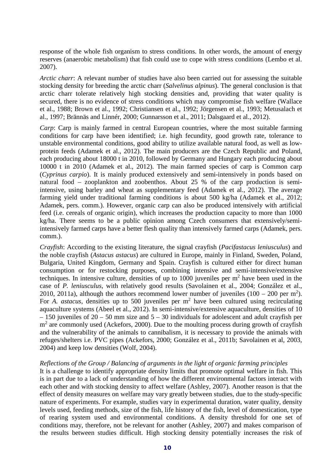response of the whole fish organism to stress conditions. In other words, the amount of energy reserves (anaerobic metabolism) that fish could use to cope with stress conditions (Lembo et al. 2007).

*Arctic charr*: A relevant number of studies have also been carried out for assessing the suitable stocking density for breeding the arctic charr (*Salvelinus alpinus*). The general conclusion is that arctic charr tolerate relatively high stocking densities and, providing that water quality is secured, there is no evidence of stress conditions which may compromise fish welfare (Wallace et al., 1988; Brown et al., 1992; Christiansen et al., 1992; Jörgensen et al., 1993; Metusalach et al., 1997; Brännäs and Linnér, 2000; Gunnarsson et al., 2011; Dalsgaard et al., 2012).

*Carp*: Carp is mainly farmed in central European countries, where the most suitable farming conditions for carp have been identified; i.e. high fecundity, good growth rate, tolerance to unstable environmental conditions, good ability to utilize available natural food, as well as lowprotein feeds (Adamek et al., 2012). The main producers are the Czech Republic and Poland, each producing about 18000 t in 2010, followed by Germany and Hungary each producing about 10000 t in 2010 (Adamek et al., 2012). The main farmed species of carp is Common carp (*Cyprinus carpio*). It is mainly produced extensively and semi-intensively in ponds based on natural food – zooplankton and zoobenthos. About 25 % of the carp production is semiintensive, using barley and wheat as supplementary feed (Adamek et al., 2012). The average farming yield under traditional farming conditions is about 500 kg/ha (Adamek et al., 2012; Adamek, pers. comm.). However, organic carp can also be produced intensively with artificial feed (i.e. cereals of organic origin), which increases the production capacity to more than 1000 kg/ha. There seems to be a public opinion among Czech consumers that extensively/semiintensively farmed carps have a better flesh quality than intensively farmed carps (Adamek, pers. comm.).

*Crayfish*: According to the existing literature, the signal crayfish (*Pacifastacus leniusculus*) and the noble crayfish (*Astacus astacus*) are cultured in Europe, mainly in Finland, Sweden, Poland, Bulgaria, United Kingdom, Germany and Spain. Crayfish is cultured either for direct human consumption or for restocking purposes, combining intensive and semi-intensive/extensive techniques. In intensive culture, densities of up to  $1000$  juveniles per  $m<sup>2</sup>$  have been used in the case of *P. leniusculus*, with relatively good results (Savolainen et al., 2004; González et al., 2010, 2011a), although the authors recommend lower number of juveniles  $(100 - 200 \text{ per m}^2)$ . For *A. astacus*, densities up to 500 juveniles per m<sup>2</sup> have been cultured using recirculating aquaculture systems (Abeel et al., 2012). In semi-intensive/extensive aquaculture, densities of 10  $-150$  juveniles of 20 – 50 mm size and  $5 - 30$  individuals for adolescent and adult cravfish per  $m<sup>2</sup>$  are commonly used (Ackefors, 2000). Due to the moulting process during growth of crayfish and the vulnerability of the animals to cannibalism, it is necessary to provide the animals with refuges/shelters i.e. PVC pipes (Ackefors, 2000; González et al., 2011b; Savolainen et al, 2003, 2004) and keep low densities (Wolf, 2004).

### *Reflections of the Group / Balancing of arguments in the light of organic farming principles*

It is a challenge to identify appropriate density limits that promote optimal welfare in fish. This is in part due to a lack of understanding of how the different environmental factors interact with each other and with stocking density to affect welfare (Ashley, 2007). Another reason is that the effect of density measures on welfare may vary greatly between studies, due to the study-specific nature of experiments. For example, studies vary in experimental duration, water quality, density levels used, feeding methods, size of the fish, life history of the fish, level of domestication, type of rearing system used and environmental conditions. A density threshold for one set of conditions may, therefore, not be relevant for another (Ashley, 2007) and makes comparison of the results between studies difficult. High stocking density potentially increases the risk of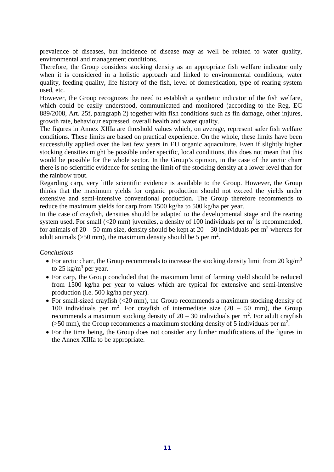prevalence of diseases, but incidence of disease may as well be related to water quality, environmental and management conditions.

Therefore, the Group considers stocking density as an appropriate fish welfare indicator only when it is considered in a holistic approach and linked to environmental conditions, water quality, feeding quality, life history of the fish, level of domestication, type of rearing system used, etc.

However, the Group recognizes the need to establish a synthetic indicator of the fish welfare, which could be easily understood, communicated and monitored (according to the Reg. EC 889/2008, Art. 25f, paragraph 2) together with fish conditions such as fin damage, other injures, growth rate, behaviour expressed, overall health and water quality.

The figures in Annex XIIIa are threshold values which, on average, represent safer fish welfare conditions. These limits are based on practical experience. On the whole, these limits have been successfully applied over the last few years in EU organic aquaculture. Even if slightly higher stocking densities might be possible under specific, local conditions, this does not mean that this would be possible for the whole sector. In the Group's opinion, in the case of the arctic charr there is no scientific evidence for setting the limit of the stocking density at a lower level than for the rainbow trout.

Regarding carp, very little scientific evidence is available to the Group. However, the Group thinks that the maximum yields for organic production should not exceed the yields under extensive and semi-intensive conventional production. The Group therefore recommends to reduce the maximum yields for carp from 1500 kg/ha to 500 kg/ha per year.

In the case of crayfish, densities should be adapted to the developmental stage and the rearing system used. For small ( $\leq$ 20 mm) juveniles, a density of 100 individuals per m<sup>2</sup> is recommended, for animals of  $20 - 50$  mm size, density should be kept at  $20 - 30$  individuals per m<sup>2</sup> whereas for adult animals ( $>50$  mm), the maximum density should be 5 per m<sup>2</sup>.

## *Conclusions*

- For arctic charr, the Group recommends to increase the stocking density limit from 20 kg/m<sup>3</sup> to 25 kg/ $m^3$  per year.
- For carp, the Group concluded that the maximum limit of farming yield should be reduced from 1500 kg/ha per year to values which are typical for extensive and semi-intensive production (i.e. 500 kg/ha per year).
- For small-sized crayfish (<20 mm), the Group recommends a maximum stocking density of 100 individuals per  $m^2$ . For crayfish of intermediate size (20 – 50 mm), the Group recommends a maximum stocking density of  $20 - 30$  individuals per m<sup>2</sup>. For adult crayfish  $($ >50 mm), the Group recommends a maximum stocking density of 5 individuals per m<sup>2</sup>.
- For the time being, the Group does not consider any further modifications of the figures in the Annex XIIIa to be appropriate.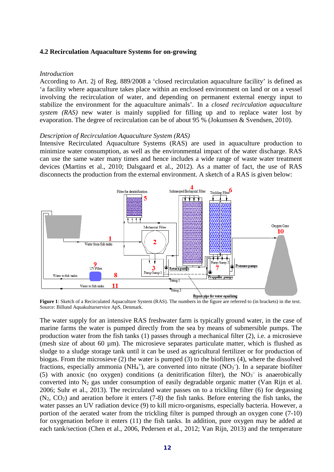#### **4.2 Recirculation Aquaculture Systems for on-growing**

#### *Introduction*

According to Art. 2j of Reg. 889/2008 a 'closed recirculation aquaculture facility' is defined as 'a facility where aquaculture takes place within an enclosed environment on land or on a vessel involving the recirculation of water, and depending on permanent external energy input to stabilize the environment for the aquaculture animals'. In a *closed recirculation aquaculture system (RAS)* new water is mainly supplied for filling up and to replace water lost by evaporation. The degree of recirculation can be of about 95 % (Jokumsen & Svendsen, 2010).

#### *Description of Recirculation Aquaculture System (RAS)*

Intensive Recirculated Aquaculture Systems (RAS) are used in aquaculture production to minimize water consumption, as well as the environmental impact of the water discharge. RAS can use the same water many times and hence includes a wide range of waste water treatment devices (Martins et al., 2010; Dalsgaard et al., 2012). As a matter of fact, the use of RAS disconnects the production from the external environment. A sketch of a RAS is given below:



**Figure 1**: Sketch of a Recirculated Aquaculture System (RAS). The numbers in the figure are referred to (in brackets) in the text. Source: Billund Aquakulturservice ApS, Denmark.

The water supply for an intensive RAS freshwater farm is typically ground water, in the case of marine farms the water is pumped directly from the sea by means of submersible pumps. The production water from the fish tanks (1) passes through a mechanical filter (2), i.e. a microsieve (mesh size of about 60 µm). The microsieve separates particulate matter, which is flushed as sludge to a sludge storage tank until it can be used as agricultural fertilizer or for production of biogas. From the microsieve (2) the water is pumped (3) to the biofilters (4), where the dissolved fractions, especially ammonia (NH<sub>4</sub><sup>+</sup>), are converted into nitrate (NO<sub>3</sub><sup>-</sup>). In a separate biofilter (5) with anoxic (no oxygen) conditions (a denitrification filter), the  $NO<sub>3</sub><sup>-</sup>$  is anaerobically converted into N2 gas under consumption of easily degradable organic matter (Van Rijn et al. 2006; Suhr et al., 2013). The recirculated water passes on to a trickling filter (6) for degassing  $(N_2, CO_2)$  and aeration before it enters  $(7-8)$  the fish tanks. Before entering the fish tanks, the water passes an UV radiation device (9) to kill micro-organisms, especially bacteria. However, a portion of the aerated water from the trickling filter is pumped through an oxygen cone (7-10) for oxygenation before it enters (11) the fish tanks. In addition, pure oxygen may be added at each tank/section (Chen et al., 2006, Pedersen et al., 2012; Van Rijn, 2013) and the temperature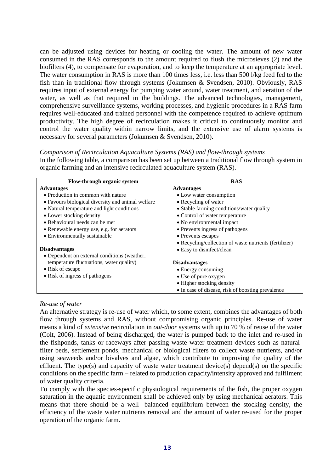can be adjusted using devices for heating or cooling the water. The amount of new water consumed in the RAS corresponds to the amount required to flush the microsieves (2) and the biofilters (4), to compensate for evaporation, and to keep the temperature at an appropriate level. The water consumption in RAS is more than 100 times less, i.e. less than 500 l/kg feed fed to the fish than in traditional flow through systems (Jokumsen & Svendsen, 2010). Obviously, RAS requires input of external energy for pumping water around, water treatment, and aeration of the water, as well as that required in the buildings. The advanced technologies, management, comprehensive surveillance systems, working processes, and hygienic procedures in a RAS farm requires well-educated and trained personnel with the competence required to achieve optimum productivity. The high degree of recirculation makes it critical to continuously monitor and control the water quality within narrow limits, and the extensive use of alarm systems is necessary for several parameters (Jokumsen & Svendsen, 2010).

## *Comparison of Recirculation Aquaculture Systems (RAS) and flow-through systems*

In the following table, a comparison has been set up between a traditional flow through system in organic farming and an intensive recirculated aquaculture system (RAS).

| Flow-through organic system                       | <b>RAS</b>                                             |
|---------------------------------------------------|--------------------------------------------------------|
| <b>Advantages</b>                                 | <b>Advantages</b>                                      |
| • Production in common with nature                | • Low water consumption                                |
| • Favours biological diversity and animal welfare | • Recycling of water                                   |
| • Natural temperature and light conditions        | • Stable farming conditions/water quality              |
| • Lower stocking density                          | • Control of water temperature                         |
| • Behavioural needs can be met                    | • No environmental impact                              |
| • Renewable energy use, e.g. for aerators         | • Prevents ingress of pathogens                        |
| • Environmentally sustainable                     | • Prevents escapes                                     |
|                                                   | • Recycling/collection of waste nutrients (fertilizer) |
| <b>Disadvantages</b>                              | • Easy to disinfect/clean                              |
| • Dependent on external conditions (weather,      |                                                        |
| temperature fluctuations, water quality)          | <b>Disadvantages</b>                                   |
| • Risk of escape                                  | • Energy consuming                                     |
| • Risk of ingress of pathogens                    | • Use of pure oxygen                                   |
|                                                   | • Higher stocking density                              |
|                                                   | • In case of disease, risk of boosting prevalence      |

# *Re-use of water*

An alternative strategy is re-use of water which, to some extent, combines the advantages of both flow through systems and RAS, without compromising organic principles. Re-use of water means a kind of *extensive* recirculation in *out-door* systems with up to 70 % of reuse of the water (Colt, 2006). Instead of being discharged, the water is pumped back to the inlet and re-used in the fishponds, tanks or raceways after passing waste water treatment devices such as naturalfilter beds, settlement ponds, mechanical or biological filters to collect waste nutrients, and/or using seaweeds and/or bivalves and algae, which contribute to improving the quality of the effluent. The type(s) and capacity of waste water treatment device(s) depend(s) on the specific conditions on the specific farm – related to production capacity/intensity approved and fulfilment of water quality criteria.

To comply with the species-specific physiological requirements of the fish, the proper oxygen saturation in the aquatic environment shall be achieved only by using mechanical aerators. This means that there should be a well- balanced equilibrium between the stocking density, the efficiency of the waste water nutrients removal and the amount of water re-used for the proper operation of the organic farm.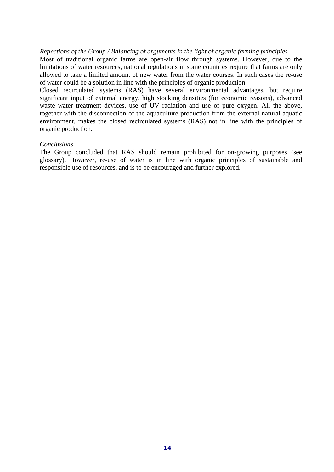### *Reflections of the Group / Balancing of arguments in the light of organic farming principles*

Most of traditional organic farms are open-air flow through systems. However, due to the limitations of water resources, national regulations in some countries require that farms are only allowed to take a limited amount of new water from the water courses. In such cases the re-use of water could be a solution in line with the principles of organic production.

Closed recirculated systems (RAS) have several environmental advantages, but require significant input of external energy, high stocking densities (for economic reasons), advanced waste water treatment devices, use of UV radiation and use of pure oxygen. All the above, together with the disconnection of the aquaculture production from the external natural aquatic environment, makes the closed recirculated systems (RAS) not in line with the principles of organic production.

## *Conclusions*

The Group concluded that RAS should remain prohibited for on-growing purposes (see glossary). However, re-use of water is in line with organic principles of sustainable and responsible use of resources, and is to be encouraged and further explored.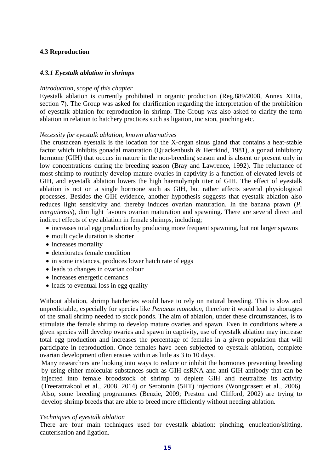# **4.3 Reproduction**

### *4.3.1 Eyestalk ablation in shrimps*

### *Introduction, scope of this chapter*

Eyestalk ablation is currently prohibited in organic production (Reg.889/2008, Annex XIIIa, section 7). The Group was asked for clarification regarding the interpretation of the prohibition of eyestalk ablation for reproduction in shrimp. The Group was also asked to clarify the term ablation in relation to hatchery practices such as ligation, incision, pinching etc.

### *Necessity for eyestalk ablation, known alternatives*

The crustacean eyestalk is the location for the X-organ sinus gland that contains a heat-stable factor which inhibits gonadal maturation (Quackenbush & Herrkind, 1981), a [gonad](http://en.wikipedia.org/wiki/Gonad) inhibitory hormone (GIH) that occurs in nature in the non-breeding season and is absent or present only in low concentrations during the breeding season (Bray and Lawrence, 1992). The reluctance of most shrimp to routinely develop mature ovaries in captivity is a function of elevated levels of GIH, and eyestalk ablation lowers the high [haemolymph](http://en.wikipedia.org/wiki/Haemolymph) titer of GIH. The effect of eyestalk ablation is not on a single hormone such as GIH, but rather affects several physiological processes. Besides the GIH evidence, another hypothesis suggests that eyestalk ablation also reduces light sensitivity and thereby induces ovarian maturation. In the banana prawn (*P. merguiensis*), dim light favours ovarian maturation and spawning. There are several direct and indirect effects of eye ablation in female shrimps, including;

- increases total egg production by producing more frequent spawning, but not larger spawns
- [moult](http://en.wikipedia.org/wiki/Moult) cycle duration is shorter
- increases mortality
- deteriorates female condition
- in some instances, produces lower hatch rate of eggs
- leads to changes in ovarian colour
- increases energetic demands
- leads to eventual loss in egg quality

Without ablation, shrimp hatcheries would have to rely on natural breeding. This is slow and unpredictable, especially for species like *Penaeus monodon*, therefore it would lead to shortages of the small shrimp needed to stock ponds. The aim of [ablation,](http://en.wikipedia.org/wiki/Ablation%23Medicine) under these circumstances, is to stimulate the female shrimp to develop mature ovaries and [spawn.](http://en.wikipedia.org/wiki/Spawn_(biology)) Even in conditions where a given species will develop ovaries and spawn in captivity, use of eyestalk ablation may increase total egg production and increases the percentage of females in a given population that will participate in reproduction. Once females have been subjected to eyestalk ablation, complete ovarian development often ensues within as little as 3 to 10 days.

Many researchers are looking into ways to reduce or inhibit the hormones preventing breeding by using either molecular substances such as GIH-dsRNA and anti-GIH antibody that can be injected into female broodstock of shrimp to deplete GIH and neutralize its activity (Treerattrakool et al., 2008, 2014) or Serotonin (5HT) injections (Wongprasert et al., 2006). Also, some breeding programmes (Benzie, 2009; Preston and Clifford, 2002) are trying to develop shrimp breeds that are able to breed more efficiently without needing ablation.

### *Techniques of eyestalk ablation*

There are four main techniques used for eyestalk ablation: pinching, enucleation/slitting, cauterisation and ligation.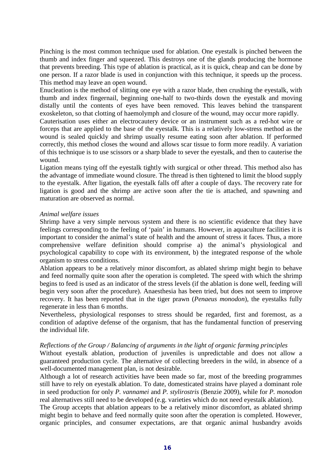Pinching is the most common technique used for ablation. One eyestalk is pinched between the thumb and index finger and squeezed. This destroys one of the glands producing the hormone that prevents breeding. This type of ablation is practical, as it is quick, cheap and can be done by one person. If a razor blade is used in conjunction with this technique, it speeds up the process. This method may leave an open wound.

Enucleation is the method of slitting one eye with a razor blade, then crushing the eyestalk, with thumb and index fingernail, beginning one-half to two-thirds down the eyestalk and moving distally until the contents of eyes have been removed. This leaves behind the transparent exoskeleton, so that clotting of haemolymph and closure of the wound, may occur more rapidly.

Cauterisation uses either an electrocautery device or an instrument such as a red-hot wire or forceps that are applied to the base of the eyestalk. This is a relatively low-stress method as the wound is sealed quickly and shrimp usually resume eating soon after ablation. If performed correctly, this method closes the wound and allows scar tissue to form more readily. A variation of this technique is to use scissors or a sharp blade to sever the eyestalk, and then to cauterise the wound.

Ligation means tying off the eyestalk tightly with surgical or other thread. This method also has the advantage of immediate wound closure. The thread is then tightened to limit the blood supply to the eyestalk. After ligation, the eyestalk falls off after a couple of days. The recovery rate for ligation is good and the shrimp are active soon after the tie is attached, and spawning and maturation are observed as normal.

### *Animal welfare issues*

Shrimp have a very simple nervous system and there is no scientific evidence that they have feelings corresponding to the feeling of 'pain' in humans. However, in aquaculture facilities it is important to consider the animal's state of health and the amount of stress it faces. Thus, a more comprehensive welfare definition should comprise a) the animal's physiological and psychological capability to cope with its environment, b) the integrated response of the whole organism to stress conditions.

Ablation appears to be a relatively minor discomfort, as ablated shrimp might begin to behave and feed normally quite soon after the operation is completed. The speed with which the shrimp begins to feed is used as an indicator of the stress levels (if the ablation is done well, feeding will begin very soon after the procedure). Anaesthesia has been tried, but does not seem to improve recovery. It has been reported that in the tiger prawn (*Penaeus monodon*), the eyestalks fully regenerate in less than 6 months.

Nevertheless, physiological responses to stress should be regarded, first and foremost, as a condition of adaptive defense of the organism, that has the fundamental function of preserving the individual life.

## *Reflections of the Group / Balancing of arguments in the light of organic farming principles*

Without eyestalk ablation, production of juveniles is unpredictable and does not allow a guaranteed production cycle. The alternative of collecting breeders in the wild, in absence of a well-documented management plan, is not desirable.

Although a lot of research activities have been made so far, most of the breeding programmes still have to rely on eyestalk ablation. To date, domesticated strains have played a dominant role in seed production for only *P. vannamei* and *P. stylirostris* (Benzie 2009), while for *P. monodon* real alternatives still need to be developed (e.g. varieties which do not need eyestalk ablation).

The Group accepts that ablation appears to be a relatively minor discomfort, as ablated shrimp might begin to behave and feed normally quite soon after the operation is completed. However, organic principles, and consumer expectations, are that organic animal husbandry avoids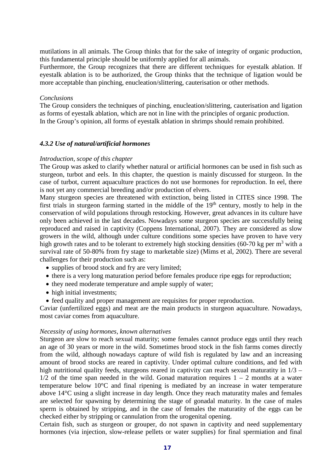mutilations in all animals. The Group thinks that for the sake of integrity of organic production, this fundamental principle should be uniformly applied for all animals.

Furthermore, the Group recognizes that there are different techniques for eyestalk ablation. If eyestalk ablation is to be authorized, the Group thinks that the technique of ligation would be more acceptable than pinching, enucleation/slittering, cauterisation or other methods.

### *Conclusions*

The Group considers the techniques of pinching, enucleation/slittering, cauterisation and ligation as forms of eyestalk ablation, which are not in line with the principles of organic production. In the Group's opinion, all forms of eyestalk ablation in shrimps should remain prohibited.

## *4.3.2 Use of natural/artificial hormones*

### *Introduction, scope of this chapter*

The Group was asked to clarify whether natural or artificial hormones can be used in fish such as sturgeon, turbot and eels. In this chapter, the question is mainly discussed for sturgeon. In the case of turbot, current aquaculture practices do not use hormones for reproduction. In eel, there is not yet any commercial breeding and/or production of elvers.

Many sturgeon species are threatened with extinction, being listed in CITES since 1998. The first trials in sturgeon farming started in the middle of the 19th century, mostly to help in the conservation of wild populations through restocking. However, great advances in its culture have only been achieved in the last decades. Nowadays some sturgeon species are successfully being reproduced and raised in captivity (Coppens International, 2007). They are considered as slow growers in the wild, although under culture conditions some species have proven to have very high growth rates and to be tolerant to extremely high stocking densities (60-70 kg per  $m<sup>3</sup>$  with a survival rate of 50-80% from fry stage to marketable size) (Mims et al, 2002). There are several challenges for their production such as:

- supplies of brood stock and fry are very limited;
- there is a very long maturation period before females produce ripe eggs for reproduction;
- they need moderate temperature and ample supply of water;
- high initial investments:
- feed quality and proper management are requisites for proper reproduction.

Caviar (unfertilized eggs) and meat are the main products in sturgeon aquaculture. Nowadays, most caviar comes from aquaculture.

### *Necessity of using hormones, known alternatives*

Sturgeon are slow to reach sexual maturity; some females cannot produce eggs until they reach an age of 30 years or more in the wild. Sometimes brood stock in the fish farms comes directly from the wild, although nowadays capture of wild fish is regulated by law and an increasing amount of brood stocks are reared in captivity. Under optimal culture conditions, and fed with high nutritional quality feeds, sturgeons reared in captivity can reach sexual maturatity in  $1/3$  –  $1/2$  of the time span needed in the wild. Gonad maturation requires  $1 - 2$  months at a water temperature below 10°C and final ripening is mediated by an increase in water temperature above 14°C using a slight increase in day length. Once they reach maturatity males and females are selected for spawning by determining the stage of gonadal maturity. In the case of males sperm is obtained by stripping, and in the case of females the maturatity of the eggs can be checked either by stripping or cannulation from the urogenital opening.

Certain fish, such as sturgeon or grouper, do not spawn in captivity and need supplementary hormones (via injection, slow-release pellets or water supplies) for final spermiation and final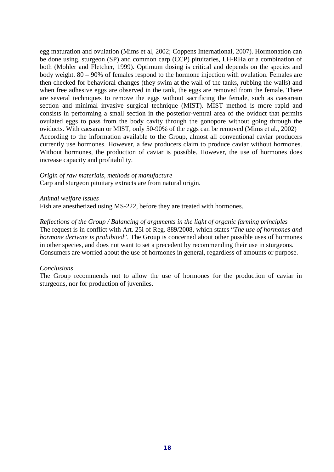egg maturation and ovulation (Mims et al, 2002; Coppens International, 2007). Hormonation can be done using, sturgeon (SP) and common carp (CCP) pituitaries, LH-RHa or a combination of both (Mohler and Fletcher, 1999). Optimum dosing is critical and depends on the species and body weight. 80 – 90% of females respond to the hormone injection with ovulation. Females are then checked for behavioral changes (they swim at the wall of the tanks, rubbing the walls) and when free adhesive eggs are observed in the tank, the eggs are removed from the female. There are several techniques to remove the eggs without sacrificing the female, such as caesarean section and minimal invasive surgical technique (MIST). MIST method is more rapid and consists in performing a small section in the posterior-ventral area of the oviduct that permits ovulated eggs to pass from the body cavity through the gonopore without going through the oviducts. With caesaran or MIST, only 50-90% of the eggs can be removed (Mims et al., 2002) According to the information available to the Group, almost all conventional caviar producers currently use hormones. However, a few producers claim to produce caviar without hormones. Without hormones, the production of caviar is possible. However, the use of hormones does increase capacity and profitability.

### *Origin of raw materials, methods of manufacture*

Carp and sturgeon pituitary extracts are from natural origin.

### *Animal welfare issues*

Fish are anesthetized using MS-222, before they are treated with hormones.

*Reflections of the Group / Balancing of arguments in the light of organic farming principles* The request is in conflict with Art. 25i of Reg. 889/2008, which states "*The use of hormones and hormone derivate is prohibited*". The Group is concerned about other possible uses of hormones in other species, and does not want to set a precedent by recommending their use in sturgeons. Consumers are worried about the use of hormones in general, regardless of amounts or purpose.

## *Conclusions*

The Group recommends not to allow the use of hormones for the production of caviar in sturgeons, nor for production of juveniles.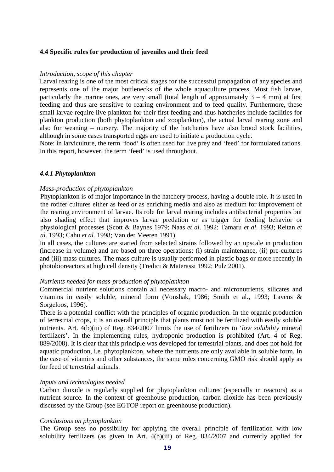### **4.4 Specific rules for production of juveniles and their feed**

#### *Introduction, scope of this chapter*

Larval rearing is one of the most critical stages for the successful propagation of any species and represents one of the major bottlenecks of the whole aquaculture process. Most fish larvae, particularly the marine ones, are very small (total length of approximately  $3 - 4$  mm) at first feeding and thus are sensitive to rearing environment and to feed quality. Furthermore, these small larvae require live plankton for their first feeding and thus hatcheries include facilities for plankton production (both phytoplankton and zooplankton), the actual larval rearing zone and also for weaning – nursery. The majority of the hatcheries have also brood stock facilities, although in some cases transported eggs are used to initiate a production cycle.

Note: in larviculture, the term 'food' is often used for live prey and 'feed' for formulated rations. In this report, however, the term 'feed' is used throughout.

#### *4.4.1 Phytoplankton*

#### *Mass-production of phytoplankton*

Phytoplankton is of major importance in the hatchery process, having a double role. It is used in the rotifer cultures either as feed or as enriching media and also as medium for improvement of the rearing environment of larvae. Its role for larval rearing includes antibacterial properties but also shading effect that improves larvae predation or as trigger for feeding behavior or physiological processes (Scott & Baynes 1979; Naas *et al*. 1992; Tamaru *et al*. 1993; Reitan *et al*. 1993; Cahu *et al.* 1998; Van der Meeren 1991).

In all cases, the cultures are started from selected strains followed by an upscale in production (increase in volume) and are based on three operations: (i) strain maintenance, (ii) pre-cultures and (iii) mass cultures. The mass culture is usually performed in plastic bags or more recently in photobioreactors at high cell density (Tredici & Materassi 1992; Pulz 2001).

#### *Nutrients needed for mass-production of phytoplankton*

Commercial nutrient solutions contain all necessary macro- and micronutrients, silicates and vitamins in easily soluble, mineral form (Vonshak, 1986; Smith et al., 1993; Lavens & Sorgeloos, 1996).

There is a potential conflict with the principles of organic production. In the organic production of terrestrial crops, it is an overall principle that plants must not be fertilized with easily soluble nutrients. Art. 4(b)(iii) of Reg. 834/2007 limits the use of fertilizers to '*low solubility* mineral fertilizers'. In the implementing rules, hydroponic production is prohibited (Art. 4 of Reg. 889/2008). It is clear that this principle was developed for terrestrial plants, and does not hold for aquatic production, i.e. phytoplankton, where the nutrients are only available in soluble form. In the case of vitamins and other substances, the same rules concerning GMO risk should apply as for feed of terrestrial animals.

#### *Inputs and technologies needed*

Carbon dioxide is regularly supplied for phytoplankton cultures (especially in reactors) as a nutrient source. In the context of greenhouse production, carbon dioxide has been previously discussed by the Group (see EGTOP report on greenhouse production).

#### *Conclusions on phytoplankton*

The Group sees no possibility for applying the overall principle of fertilization with low solubility fertilizers (as given in Art. 4(b)(iii) of Reg. 834/2007 and currently applied for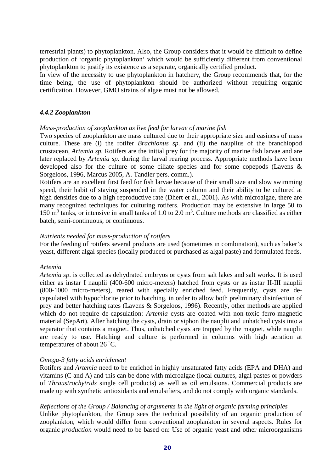terrestrial plants) to phytoplankton. Also, the Group considers that it would be difficult to define production of 'organic phytoplankton' which would be sufficiently different from conventional phytoplankton to justify its existence as a separate, organically certified product.

In view of the necessity to use phytoplankton in hatchery, the Group recommends that, for the time being, the use of phytoplankton should be authorized without requiring organic certification. However, GMO strains of algae must not be allowed.

## *4.4.2 Zooplankton*

### *Mass-production of zooplankton as live feed for larvae of marine fish*

Two species of zooplankton are mass cultured due to their appropriate size and easiness of mass culture. These are (i) the rotifer *Brachionus sp.* and (ii) the nauplius of the branchiopod crustacean, *Artemia sp.* Rotifers are the initial prey for the majority of marine fish larvae and are later replaced by *Artemia sp.* during the larval rearing process. Appropriate methods have been developed also for the culture of some ciliate species and for some copepods (Lavens & Sorgeloos, 1996, Marcus 2005, A. Tandler pers. comm.).

Rotifers are an excellent first feed for fish larvae because of their small size and slow swimming speed, their habit of staying suspended in the water column and their ability to be cultured at high densities due to a high reproductive rate (Dhert et al., 2001). As with microalgae, there are many recognized techniques for culturing rotifers. Production may be extensive in large 50 to 150  $\text{m}^3$  tanks, or intensive in small tanks of 1.0 to 2.0  $\text{m}^3$ . Culture methods are classified as either batch, semi-continuous, or continuous.

### *Nutrients needed for mass-production of rotifers*

For the feeding of rotifers several products are used (sometimes in combination), such as baker's yeast, different algal species (locally produced or purchased as algal paste) and formulated feeds.

### *Artemia*

*Artemia sp*. is collected as dehydrated embryos or cysts from salt lakes and salt works. It is used either as instar I nauplii (400-600 micro-meters) hatched from cysts or as instar II-III nauplii (800-1000 micro-meters), reared with specially enriched feed. Frequently, cysts are decapsulated with hypochlorite prior to hatching, in order to allow both preliminary disinfection of prey and better hatching rates (Lavens & Sorgeloos, 1996). Recently, other methods are applied which do not require de-capsulation: *Artemia* cysts are coated with non-toxic ferro-magnetic material (SepArt). After hatching the cysts, drain or siphon the nauplii and unhatched cysts into a separator that contains a magnet. Thus, unhatched cysts are trapped by the magnet, while nauplii are ready to use. Hatching and culture is performed in columns with high aeration at temperatures of about 26 ° C.

### *Omega-3 fatty acids enrichment*

Rotifers and *Artemia* need to be enriched in highly unsaturated fatty acids (EPA and DHA) and vitamins (C and A) and this can be done with microalgae (local cultures, algal pastes or powders of *Thraustrochytrids* single cell products) as well as oil emulsions. Commercial products are made up with synthetic antioxidants and emulsifiers, and do not comply with organic standards.

### *Reflections of the Group / Balancing of arguments in the light of organic farming principles*

Unlike phytoplankton, the Group sees the technical possibility of an organic production of zooplankton, which would differ from conventional zooplankton in several aspects. Rules for organic *production* would need to be based on: Use of organic yeast and other microorganisms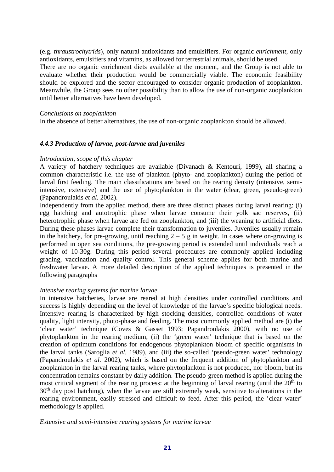(e.g. *thraustrochytrids*), only natural antioxidants and emulsifiers. For organic *enrichment*, only antioxidants, emulsifiers and vitamins, as allowed for terrestrial animals, should be used. There are no organic enrichment diets available at the moment, and the Group is not able to evaluate whether their production would be commercially viable. The economic feasibility should be explored and the sector encouraged to consider organic production of zooplankton. Meanwhile, the Group sees no other possibility than to allow the use of non-organic zooplankton until better alternatives have been developed.

### *Conclusions on zooplankton*

In the absence of better alternatives, the use of non-organic zooplankton should be allowed.

### *4.4.3 Production of larvae, post-larvae and juveniles*

### *Introduction, scope of this chapter*

A variety of hatchery techniques are available (Divanach & Kentouri, 1999), all sharing a common characteristic i.e. the use of plankton (phyto- and zooplankton) during the period of larval first feeding. The main classifications are based on the rearing density (intensive, semiintensive, extensive) and the use of phytoplankton in the water (clear, green, pseudo-green) (Papandroulakis *et al.* 2002).

Independently from the applied method, there are three distinct phases during larval rearing: (i) egg hatching and autotrophic phase when larvae consume their yolk sac reserves, (ii) heterotrophic phase when larvae are fed on zooplankton, and (iii) the weaning to artificial diets. During these phases larvae complete their transformation to juveniles. Juveniles usually remain in the hatchery, for pre-growing, until reaching  $2 - 5$  g in weight. In cases where on-growing is performed in open sea conditions, the pre-growing period is extended until individuals reach a weight of 10-30g. During this period several procedures are commonly applied including grading, vaccination and quality control. This general scheme applies for both marine and freshwater larvae. A more detailed description of the applied techniques is presented in the following paragraphs

### *Intensive rearing systems for marine larvae*

In intensive hatcheries, larvae are reared at high densities under controlled conditions and success is highly depending on the level of knowledge of the larvae's specific biological needs. Intensive rearing is characterized by high stocking densities, controlled conditions of water quality, light intensity, photo-phase and feeding. The most commonly applied method are (i) the 'clear water' technique (Coves & Gasset 1993; Papandroulakis 2000), with no use of phytoplankton in the rearing medium, (ii) the 'green water' technique that is based on the creation of optimum conditions for endogenous phytoplankton bloom of specific organisms in the larval tanks (Saroglia *et al.* 1989), and (iii) the so-called 'pseudo-green water' technology (Papandroulakis *et al.* 2002), which is based on the frequent addition of phytoplankton and zooplankton in the larval rearing tanks, where phytoplankton is not produced, nor bloom, but its concentration remains constant by daily addition. The pseudo-green method is applied during the most critical segment of the rearing process: at the beginning of larval rearing (until the  $20<sup>th</sup>$  to 30<sup>th</sup> day post hatching), when the larvae are still extremely weak, sensitive to alterations in the rearing environment, easily stressed and difficult to feed. After this period, the 'clear water' methodology is applied.

*Extensive and semi-intensive rearing systems for marine larvae*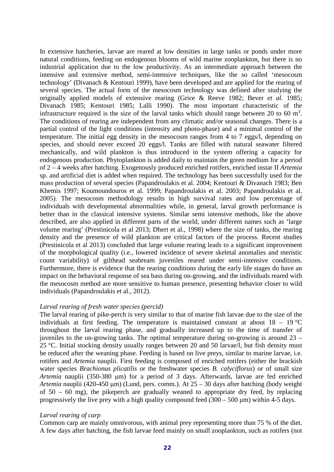In extensive hatcheries, larvae are reared at low densities in large tanks or ponds under more natural conditions, feeding on endogenous blooms of wild marine zooplankton, but there is no industrial application due to the low productivity. As an intermediate approach between the intensive and extensive method, semi-intensive techniques, like the so called 'mesocosm technology' (Divanach & Kentouri 1999), have been developed and are applied for the rearing of several species. The actual form of the mesocosm technology was defined after studying the originally applied models of extensive rearing (Grice & Reeve 1982; Bever *et al.* 1985; Divanach 1985; Kentouri 1985; Lalli 1990). The most important characteristic of the infrastructure required is the size of the larval tanks which should range between 20 to 60  $m<sup>3</sup>$ . The conditions of rearing are independent from any climatic and/or seasonal changes. There is a partial control of the light conditions (intensity and photo-phase) and a minimal control of the temperature. The initial egg density in the mesocosm ranges from 4 to 7 eggs/l, depending on species, and should never exceed 20 eggs/l. Tanks are filled with natural seawater filtered mechanically, and wild plankton is thus introduced in the system offering a capacity for endogenous production. Phytoplankton is added daily to maintain the green medium for a period of 2 – 4 weeks after hatching. Exogenously produced enriched rotifers, enriched instar II *Artemia* sp. and artificial diet is added when required. The technology has been successfully used for the mass production of several species (Papandroulakis et al. 2004; Kentouri & Divanach 1983; Ben Khemis 1997; Koumoundouros et al. 1999; Papandroulakis et al. 2003; Papandroulakis et al. 2005). The mesocosm methodology results in high survival rates and low percentage of individuals with developmental abnormalities while, in general, larval growth performance is better than in the classical intensive systems. Similar semi intensive methods, like the above described, are also applied in different parts of the world, under different names such as 'large volume rearing' (Prestinicola et al 2013; Dhert et al., 1998) where the size of tanks, the rearing density and the presence of wild plankton are critical factors of the process. Recent studies (Prestinicola et al 2013) concluded that large volume rearing leads to a significant improvement of the morphological quality (i.e., lowered incidence of severe skeletal anomalies and meristic count variability) of gilthead seabream juveniles reared under semi-intensive conditions. Furthermore, there is evidence that the rearing conditions during the early life stages do have an impact on the behavioral response of sea bass during on-growing, and the individuals reared with the mesocosm method are more sensitive to human presence, presenting behavior closer to wild individuals (Papandroulakis et al., 2012).

### *Larval rearing of fresh water species (percid)*

The larval rearing of pike-perch is very similar to that of marine fish larvae due to the size of the individuals at first feeding. The temperature is maintained constant at about  $18 - 19$  °C throughout the larval rearing phase, and gradually increased up to the time of transfer of juveniles to the on-growing tanks. The optimal temperature during on-growing is around  $23 -$ 25 °C. Initial stocking density usually ranges between 20 and 50 larvae/l, but fish density must be reduced after the weaning phase. Feeding is based on live preys, similar to marine larvae, i.e. rotifers and *Artemia* nauplii. First feeding is composed of enriched rotifers (either the brackish water species *Brachionus plicatilis* or the freshwater species *B. calyciflorus*) or of small size *Artemia* nauplii (350-380 μm) for a period of 3 days. Afterwards, larvae are fed enriched *Artemia* nauplii (420-450 μm) (Lund, pers. comm.). At 25 – 30 days after hatching (body weight of 50 – 60 mg), the pikeperch are gradually weaned to appropriate dry feed, by replacing progressively the live prey with a high quality compound feed  $(300 - 500 \,\mu m)$  within 4-5 days.

### *Larval rearing of carp*

Common carp are mainly omnivorous, with animal prey representing more than 75 % of the diet. A few days after hatching, the fish larvae feed mainly on small zooplankton, such as rotifers (not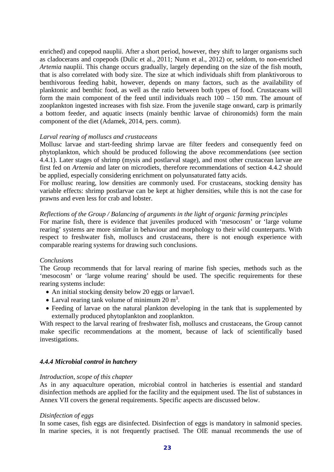enriched) and copepod nauplii. After a short period, however, they shift to larger organisms such as cladocerans and copepods (Dulic et al., 2011; Nunn et al., 2012) or, seldom, to non-enriched *Artemia* nauplii. This change occurs gradually, largely depending on the size of the fish mouth, that is also correlated with body size. The size at which individuals shift from planktivorous to benthivorous feeding habit, however, depends on many factors, such as the availability of planktonic and benthic food, as well as the ratio between both types of food. Crustaceans will form the main component of the feed until individuals reach 100 – 150 mm. The amount of zooplankton ingested increases with fish size. From the juvenile stage onward, carp is primarily a bottom feeder, and aquatic insects (mainly benthic larvae of chironomids) form the main component of the diet (Adamek, 2014, pers. comm).

### *Larval rearing of molluscs and crustaceans*

Mollusc larvae and start-feeding shrimp larvae are filter feeders and consequently feed on phytoplankton, which should be produced following the above recommendations (see section 4.4.1). Later stages of shrimp (mysis and postlarval stage), and most other crustacean larvae are first fed on *Artemia* and later on microdiets, therefore recommendations of section 4.4.2 should be applied, especially considering enrichment on polyunsaturated fatty acids.

For mollusc rearing, low densities are commonly used. For crustaceans, stocking density has variable effects: shrimp postlarvae can be kept at higher densities, while this is not the case for prawns and even less for crab and lobster.

### *Reflections of the Group / Balancing of arguments in the light of organic farming principles*

For marine fish, there is evidence that juveniles produced with 'mesocosm' or 'large volume rearing' systems are more similar in behaviour and morphology to their wild counterparts. With respect to freshwater fish, molluscs and crustaceans, there is not enough experience with comparable rearing systems for drawing such conclusions.

### *Conclusions*

The Group recommends that for larval rearing of marine fish species, methods such as the 'mesocosm' or 'large volume rearing' should be used. The specific requirements for these rearing systems include:

- An initial stocking density below 20 eggs or larvae/l.
- Larval rearing tank volume of minimum  $20 \text{ m}^3$ .
- Feeding of larvae on the natural plankton developing in the tank that is supplemented by externally produced phytoplankton and zooplankton.

With respect to the larval rearing of freshwater fish, molluscs and crustaceans, the Group cannot make specific recommendations at the moment, because of lack of scientifically based investigations.

## *4.4.4 Microbial control in hatchery*

### *Introduction, scope of this chapter*

As in any aquaculture operation, microbial control in hatcheries is essential and standard disinfection methods are applied for the facility and the equipment used. The list of substances in Annex VII covers the general requirements. Specific aspects are discussed below.

### *Disinfection of eggs*

In some cases, fish eggs are disinfected. Disinfection of eggs is mandatory in salmonid species. In marine species, it is not frequently practised. The OIE manual recommends the use of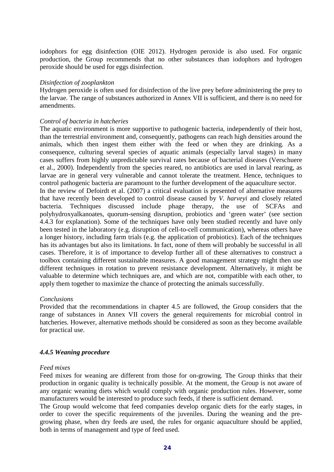iodophors for egg disinfection (OIE 2012). Hydrogen peroxide is also used. For organic production, the Group recommends that no other substances than iodophors and hydrogen peroxide should be used for eggs disinfection.

### *Disinfection of zooplankton*

Hydrogen peroxide is often used for disinfection of the live prey before administering the prey to the larvae. The range of substances authorized in Annex VII is sufficient, and there is no need for amendments.

#### *Control of bacteria in hatcheries*

The aquatic environment is more supportive to pathogenic bacteria, independently of their host, than the terrestrial environment and, consequently, pathogens can reach high densities around the animals, which then ingest them either with the feed or when they are drinking. As a consequence, culturing several species of aquatic animals (especially larval stages) in many cases suffers from highly unpredictable survival rates because of bacterial diseases (Verschuere et al., 2000). Independently from the species reared, no antibiotics are used in larval rearing, as larvae are in general very vulnerable and cannot tolerate the treatment. Hence, techniques to control pathogenic bacteria are paramount to the further development of the aquaculture sector.

In the review of Defoirdt et al. (2007) a critical evaluation is presented of alternative measures that have recently been developed to control disease caused by *V. harveyi* and closely related bacteria. Techniques discussed include phage therapy, the use of SCFAs and polyhydroxyalkanoates, quorum-sensing disruption, probiotics and 'green water' (see section 4.4.3 for explanation). Some of the techniques have only been studied recently and have only been tested in the laboratory (e.g. disruption of cell-to-cell communication), whereas others have a longer history, including farm trials (e.g. the application of probiotics). Each of the techniques has its advantages but also its limitations. In fact, none of them will probably be successful in all cases. Therefore, it is of importance to develop further all of these alternatives to construct a toolbox containing different sustainable measures. A good management strategy might then use different techniques in rotation to prevent resistance development. Alternatively, it might be valuable to determine which techniques are, and which are not, compatible with each other, to apply them together to maximize the chance of protecting the animals successfully.

### *Conclusions*

Provided that the recommendations in chapter 4.5 are followed, the Group considers that the range of substances in Annex VII covers the general requirements for microbial control in hatcheries. However, alternative methods should be considered as soon as they become available for practical use.

### *4.4.5 Weaning procedure*

### *Feed mixes*

Feed mixes for weaning are different from those for on-growing. The Group thinks that their production in organic quality is technically possible. At the moment, the Group is not aware of any organic weaning diets which would comply with organic production rules. However, some manufacturers would be interested to produce such feeds, if there is sufficient demand.

The Group would welcome that feed companies develop organic diets for the early stages, in order to cover the specific requirements of the juveniles. During the weaning and the pregrowing phase, when dry feeds are used, the rules for organic aquaculture should be applied, both in terms of management and type of feed used.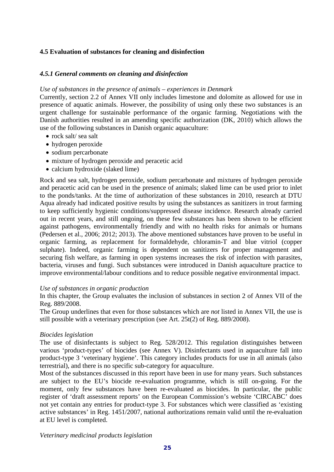# **4.5 Evaluation of substances for cleaning and disinfection**

## *4.5.1 General comments on cleaning and disinfection*

### *Use of substances in the presence of animals – experiences in Denmark*

Currently, section 2.2 of Annex VII only includes limestone and dolomite as allowed for use in presence of aquatic animals. However, the possibility of using only these two substances is an urgent challenge for sustainable performance of the organic farming. Negotiations with the Danish authorities resulted in an amending specific authorization (DK, 2010) which allows the use of the following substances in Danish organic aquaculture:

- rock salt/ sea salt
- hydrogen peroxide
- sodium percarbonate
- mixture of hydrogen peroxide and peracetic acid
- calcium hydroxide (slaked lime)

Rock and sea salt, hydrogen peroxide, sodium percarbonate and mixtures of hydrogen peroxide and peracetic acid can be used in the presence of animals; slaked lime can be used prior to inlet to the ponds/tanks. At the time of authorization of these substances in 2010, research at DTU Aqua already had indicated positive results by using the substances as sanitizers in trout farming to keep sufficiently hygienic conditions/suppressed disease incidence. Research already carried out in recent years, and still ongoing, on these few substances has been shown to be efficient against pathogens, environmentally friendly and with no health risks for animals or humans (Pedersen et al., 2006; 2012; 2013). The above mentioned substances have proven to be useful in organic farming, as replacement for formaldehyde, chloramin-T and blue vitriol (copper sulphate). Indeed, organic farming is dependent on sanitizers for proper management and securing fish welfare, as farming in open systems increases the risk of infection with parasites, bacteria, viruses and fungi. Such substances were introduced in Danish aquaculture practice to improve environmental/labour conditions and to reduce possible negative environmental impact.

## *Use of substances in organic production*

In this chapter, the Group evaluates the inclusion of substances in section 2 of Annex VII of the Reg. 889/2008.

The Group underlines that even for those substances which are *not* listed in Annex VII, the use is still possible with a veterinary prescription (see Art. 25t(2) of Reg. 889/2008).

## *Biocides legislation*

The use of disinfectants is subject to Reg. 528/2012. This regulation distinguishes between various 'product-types' of biocides (see Annex V). Disinfectants used in aquaculture fall into product-type 3 'veterinary hygiene'. This category includes products for use in all animals (also terrestrial), and there is no specific sub-category for aquaculture.

Most of the substances discussed in this report have been in use for many years. Such substances are subject to the EU's biocide re-evaluation programme, which is still on-going. For the moment, only few substances have been re-evaluated as biocides. In particular, the public register of 'draft assessment reports' on the European Commission's website 'CIRCABC' does not yet contain any entries for product-type 3. For substances which were classified as 'existing active substances' in Reg. 1451/2007, national authorizations remain valid until the re-evaluation at EU level is completed.

*Veterinary medicinal products legislation*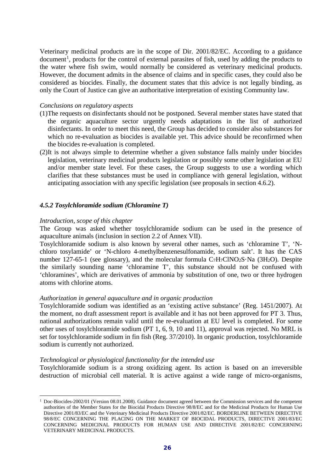Veterinary medicinal products are in the scope of Dir. 2001/82/EC. According to a guidance document<sup>[1](#page-25-0)</sup>, products for the control of external parasites of fish, used by adding the products to the water where fish swim, would normally be considered as veterinary medicinal products. However, the document admits in the absence of claims and in specific cases, they could also be considered as biocides. Finally, the document states that this advice is not legally binding, as only the Court of Justice can give an authoritative interpretation of existing Community law.

### *Conclusions on regulatory aspects*

- (1)The requests on disinfectants should not be postponed. Several member states have stated that the organic aquaculture sector urgently needs adaptations in the list of authorized disinfectants. In order to meet this need, the Group has decided to consider also substances for which no re-evaluation as biocides is available yet. This advice should be reconfirmed when the biocides re-evaluation is completed.
- (2)It is not always simple to determine whether a given substance falls mainly under biocides legislation, veterinary medicinal products legislation or possibly some other legislation at EU and/or member state level. For these cases, the Group suggests to use a wording which clarifies that these substances must be used in compliance with general legislation, without anticipating association with any specific legislation (see proposals in section 4.6.2).

## *4.5.2 Tosylchloramide sodium (Chloramine T)*

### *Introduction, scope of this chapter*

The Group was asked whether tosylchloramide sodium can be used in the presence of aquaculture animals (inclusion in section 2.2 of Annex VII).

Tosylchloramide sodium is also known by several other names, such as 'chloramine T', 'Nchloro tosylamide' or 'N-chloro 4-methylbenzenesulfonamide, sodium salt'. It has the CAS number 127-65-1 (see glossary), and the molecular formula  $C_7H_7CINO_2S\cdot Na$  (3H<sub>2</sub>O). Despite the similarly sounding name 'chloramine T', this substance should not be confused with 'chloramines', which are derivatives of ammonia by substitution of one, two or three hydrogen atoms with chlorine atoms.

### *Authorization in general aquaculture and in organic production*

Tosylchloramide sodium was identified as an 'existing active substance' (Reg. 1451/2007). At the moment, no draft assessment report is available and it has not been approved for PT 3. Thus, national authorizations remain valid until the re-evaluation at EU level is completed. For some other uses of tosylchloramide sodium (PT 1, 6, 9, 10 and 11), approval was rejected. No MRL is set for tosylchloramide sodium in fin fish (Reg. 37/2010). In organic production, tosylchloramide sodium is currently not authorized.

### *Technological or physiological functionality for the intended use*

Tosylchloramide sodium is a strong oxidizing agent. Its action is based on an irreversible destruction of microbial cell material. It is active against a wide range of micro-organisms,

<span id="page-25-0"></span><sup>&</sup>lt;sup>1</sup> Doc-Biocides-2002/01 (Version 08.01.2008). Guidance document agreed between the Commission services and the competent authorities of the Member States for the Biocidal Products Directive 98/8/EC and for the Medicinal Products for Human Use Directive 2001/83/EC and the Veterinary Medicinal Products Directive 2001/82/EC. BORDERLINE BETWEEN DIRECTIVE 98/8/EC CONCERNING THE PLACING ON THE MARKET OF BIOCIDAL PRODUCTS, DIRECTIVE 2001/83/EC CONCERNING MEDICINAL PRODUCTS FOR HUMAN USE AND DIRECTIVE 2001/82/EC CONCERNING VETERINARY MEDICINAL PRODUCTS. -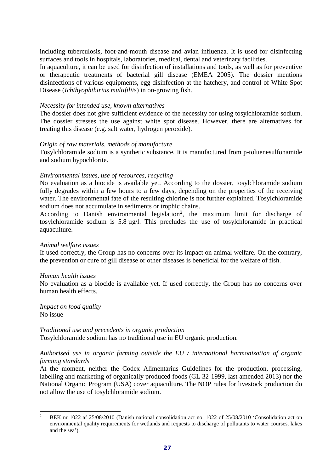including tuberculosis, foot-and-mouth disease and avian influenza. It is used for disinfecting surfaces and tools in hospitals, laboratories, medical, dental and veterinary facilities.

In aquaculture, it can be used for disinfection of installations and tools, as well as for preventive or therapeutic treatments of bacterial gill disease (EMEA 2005). The dossier mentions disinfections of various equipments, egg disinfection at the hatchery, and control of White Spot Disease (*Ichthyophthirius multifiliis*) in on-growing fish.

### *Necessity for intended use, known alternatives*

The dossier does not give sufficient evidence of the necessity for using tosylchloramide sodium. The dossier stresses the use against white spot disease. However, there are alternatives for treating this disease (e.g. salt water, hydrogen peroxide).

### *Origin of raw materials, methods of manufacture*

Tosylchloramide sodium is a synthetic substance. It is manufactured from p-toluenesulfonamide and sodium hypochlorite.

### *Environmental issues, use of resources, recycling*

No evaluation as a biocide is available yet. According to the dossier, tosylchloramide sodium fully degrades within a few hours to a few days, depending on the properties of the receiving water. The environmental fate of the resulting chlorine is not further explained. Tosylchloramide sodium does not accumulate in sediments or trophic chains.

According to Danish environmental legislation<sup>[2](#page-26-0)</sup>, the maximum limit for discharge of tosylchloramide sodium is 5.8 µg/l. This precludes the use of tosylchloramide in practical aquaculture.

### *Animal welfare issues*

If used correctly, the Group has no concerns over its impact on animal welfare. On the contrary, the prevention or cure of gill disease or other diseases is beneficial for the welfare of fish.

### *Human health issues*

No evaluation as a biocide is available yet. If used correctly, the Group has no concerns over human health effects.

*Impact on food quality*  No issue

### *Traditional use and precedents in organic production*

Tosylchloramide sodium has no traditional use in EU organic production.

# *Authorised use in organic farming outside the EU / international harmonization of organic farming standards*

At the moment, neither the Codex Alimentarius Guidelines for the production, processing, labelling and marketing of organically produced foods (GL 32-1999, last amended 2013) nor the National Organic Program (USA) cover aquaculture. The NOP rules for livestock production do not allow the use of tosylchloramide sodium.

<span id="page-26-0"></span><sup>2</sup> BEK nr 1022 af 25/08/2010 (Danish national consolidation act no. 1022 of 25/08/2010 'Consolidation act on environmental quality requirements for wetlands and requests to discharge of pollutants to water courses, lakes and the sea').  $\mathfrak{D}$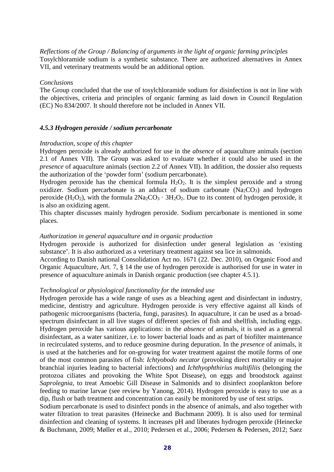*Reflections of the Group / Balancing of arguments in the light of organic farming principles* Tosylchloramide sodium is a synthetic substance. There are authorized alternatives in Annex VII, and veterinary treatments would be an additional option.

### *Conclusions*

The Group concluded that the use of tosylchloramide sodium for disinfection is not in line with the objectives, criteria and principles of organic farming as laid down in Council Regulation (EC) No 834/2007. It should therefore not be included in Annex VII.

### *4.5.3 Hydrogen peroxide / sodium percarbonate*

#### *Introduction, scope of this chapter*

Hydrogen peroxide is already authorized for use in the *absence* of aquaculture animals (section 2.1 of Annex VII). The Group was asked to evaluate whether it could also be used in the *presence* of aquaculture animals (section 2.2 of Annex VII). In addition, the dossier also requests the authorization of the 'powder form' (sodium percarbonate).

Hydrogen peroxide has the chemical formula  $H_2O_2$ . It is the simplest peroxide and a strong oxidizer. Sodium percarbonate is an adduct of sodium carbonate  $(Na<sub>2</sub>CO<sub>3</sub>)$  and hydrogen peroxide  $(H_2O_2)$ , with the formula  $2Na_2CO_3 \cdot 3H_2O_2$ . Due to its content of hydrogen peroxide, it is also an oxidizing agent.

This chapter discusses mainly hydrogen peroxide. Sodium percarbonate is mentioned in some places.

### *Authorization in general aquaculture and in organic production*

Hydrogen peroxide is authorized for disinfection under general legislation as 'existing substance'. It is also authorized as a veterinary treatment against sea lice in salmonids.

According to Danish national Consolidation Act no. 1671 (22. Dec. 2010), on Organic Food and Organic Aquaculture, Art. 7, § 14 the use of hydrogen peroxide is authorised for use in water in presence of aquaculture animals in Danish organic production (see chapter 4.5.1).

#### *Technological or physiological functionality for the intended use*

Hydrogen peroxide has a wide range of uses as a bleaching agent and disinfectant in industry, medicine, dentistry and agriculture. Hydrogen peroxide is very effective against all kinds of pathogenic microorganisms (bacteria, fungi, parasites). In aquaculture, it can be used as a broadspectrum disinfectant in all live stages of different species of fish and shellfish, including eggs. Hydrogen peroxide has various applications: in the *absence* of animals, it is used as a general disinfectant, as a water sanitizer, i.e. to lower bacterial loads and as part of biofilter maintenance in recirculated systems, and to reduce geosmine during depuration. In the *presence* of animals, it is used at the hatcheries and for on-growing for water treatment against the motile forms of one of the most common parasites of fish: *Ichtyobodo necator* (provoking direct mortality or major branchial injuries leading to bacterial infections) and *Ichthyophthirius multifiliis* (belonging the protozoa ciliates and provoking the White Spot Disease), on eggs and broodstock against *Saprolegnia*, to treat Amoebic Gill Disease in Salmonids and to disinfect zooplankton before feeding to marine larvae (see review by Yanong, 2014). Hydrogen peroxide is easy to use as a dip, flush or bath treatment and concentration can easily be monitored by use of test strips.

Sodium percarbonate is used to disinfect ponds in the absence of animals, and also together with water filtration to treat parasites (Heinecke and Buchmann 2009). It is also used for terminal disinfection and cleaning of systems. It increases pH and liberates hydrogen peroxide (Heinecke & Buchmann, 2009; Møller et al., 2010; Pedersen et al., 2006; Pedersen & Pedersen, 2012; Saez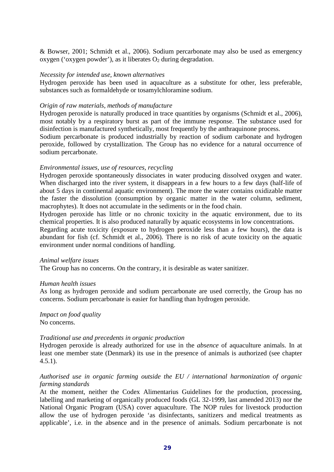& Bowser, 2001; Schmidt et al., 2006). Sodium percarbonate may also be used as emergency oxygen ('oxygen powder'), as it liberates  $O_2$  during degradation.

### *Necessity for intended use, known alternatives*

Hydrogen peroxide has been used in aquaculture as a substitute for other, less preferable, substances such as formaldehyde or tosamylchloramine sodium.

### *Origin of raw materials, methods of manufacture*

Hydrogen peroxide is naturally produced in trace quantities by organisms (Schmidt et al., 2006), most notably by a respiratory burst as part of the immune response. The substance used for disinfection is manufactured synthetically, most frequently by the anthraquinone process.

Sodium percarbonate is produced industrially by reaction of sodium carbonate and hydrogen peroxide, followed by crystallization. The Group has no evidence for a natural occurrence of sodium percarbonate.

### *Environmental issues, use of resources, recycling*

Hydrogen peroxide spontaneously dissociates in water producing dissolved oxygen and water. When discharged into the river system, it disappears in a few hours to a few days (half-life of about 5 days in continental aquatic environment). The more the water contains oxidizable matter the faster the dissolution (consumption by organic matter in the water column, sediment, macrophytes). It does not accumulate in the sediments or in the food chain.

Hydrogen peroxide has little or no chronic toxicity in the aquatic environment, due to its chemical properties. It is also produced naturally by aquatic ecosystems in low concentrations.

Regarding acute toxicity (exposure to hydrogen peroxide less than a few hours), the data is abundant for fish (cf. Schmidt et al., 2006). There is no risk of acute toxicity on the aquatic environment under normal conditions of handling.

### *Animal welfare issues*

The Group has no concerns. On the contrary, it is desirable as water sanitizer.

### *Human health issues*

As long as hydrogen peroxide and sodium percarbonate are used correctly, the Group has no concerns. Sodium percarbonate is easier for handling than hydrogen peroxide.

*Impact on food quality*  No concerns.

## *Traditional use and precedents in organic production*

Hydrogen peroxide is already authorized for use in the *absence* of aquaculture animals. In at least one member state (Denmark) its use in the presence of animals is authorized (see chapter 4.5.1).

# *Authorised use in organic farming outside the EU / international harmonization of organic farming standards*

At the moment, neither the Codex Alimentarius Guidelines for the production, processing, labelling and marketing of organically produced foods (GL 32-1999, last amended 2013) nor the National Organic Program (USA) cover aquaculture. The NOP rules for livestock production allow the use of hydrogen peroxide 'as disinfectants, sanitizers and medical treatments as applicable', i.e. in the absence and in the presence of animals. Sodium percarbonate is not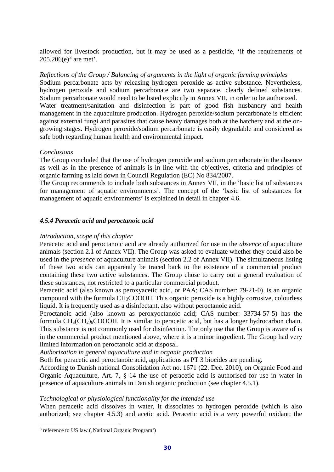allowed for livestock production, but it may be used as a pesticide, 'if the requirements of 205.206(e)<sup>[3](#page-29-0)</sup> are met'.

*Reflections of the Group / Balancing of arguments in the light of organic farming principles* Sodium percarbonate acts by releasing hydrogen peroxide as active substance. Nevertheless, hydrogen peroxide and sodium percarbonate are two separate, clearly defined substances. Sodium percarbonate would need to be listed explicitly in Annex VII, in order to be authorized. Water treatment/sanitation and disinfection is part of good fish husbandry and health management in the aquaculture production. Hydrogen peroxide/sodium percarbonate is efficient against external fungi and parasites that cause heavy damages both at the hatchery and at the ongrowing stages. Hydrogen peroxide/sodium percarbonate is easily degradable and considered as safe both regarding human health and environmental impact.

## *Conclusions*

The Group concluded that the use of hydrogen peroxide and sodium percarbonate in the absence as well as in the presence of animals is in line with the objectives, criteria and principles of organic farming as laid down in Council Regulation (EC) No 834/2007.

The Group recommends to include both substances in Annex VII, in the 'basic list of substances for management of aquatic environments'. The concept of the 'basic list of substances for management of aquatic environments' is explained in detail in chapter 4.6.

# *4.5.4 Peracetic acid and peroctanoic acid*

## *Introduction, scope of this chapter*

Peracetic acid and peroctanoic acid are already authorized for use in the *absence* of aquaculture animals (section 2.1 of Annex VII). The Group was asked to evaluate whether they could also be used in the *presence* of aquaculture animals (section 2.2 of Annex VII). The simultaneous listing of these two acids can apparently be traced back to the existence of a commercial product containing these two active substances. The Group chose to carry out a general evaluation of these substances, not restricted to a particular commercial product.

Peracetic acid (also known as peroxyacetic acid, or PAA; CAS number: 79-21-0), is an organic compound with the formula CH3COOOH. This organic peroxide is a highly corrosive, colourless liquid. It is frequently used as a disinfectant, also without peroctanoic acid.

Peroctanoic acid (also known as peroxyoctanoic acid; CAS number: 33734-57-5) has the formula CH3(CH2)6COOOH. It is similar to peracetic acid, but has a longer hydrocarbon chain. This substance is not commonly used for disinfection. The only use that the Group is aware of is in the commercial product mentioned above, where it is a minor ingredient. The Group had very limited information on peroctanoic acid at disposal.

*Authorization in general aquaculture and in organic production*

Both for peracetic and peroctanoic acid, applications as PT 3 biocides are pending.

According to Danish national Consolidation Act no. 1671 (22. Dec. 2010), on Organic Food and Organic Aquaculture, Art. 7, § 14 the use of peracetic acid is authorised for use in water in presence of aquaculture animals in Danish organic production (see chapter 4.5.1).

## *Technological or physiological functionality for the intended use*

When peracetic acid dissolves in water, it dissociates to hydrogen peroxide (which is also authorized; see chapter 4.5.3) and acetic acid. Peracetic acid is a very powerful oxidant; the

-

<span id="page-29-0"></span><sup>&</sup>lt;sup>3</sup> reference to US law (, National Organic Program')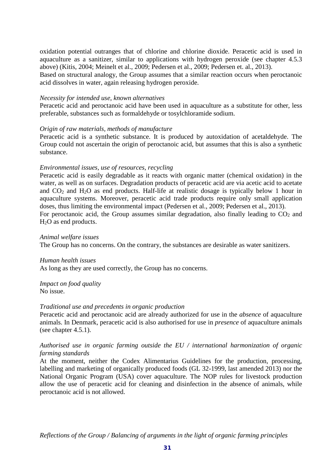oxidation potential outranges that of [chlorine](http://www.lenntech.com/water-disinfection/disinfectants-chlorine.htm) and [chlorine dioxide.](http://www.lenntech.com/water-disinfection/disinfectants-chlorine-dioxide.htm) Peracetic acid is used in aquaculture as a sanitizer, similar to applications with hydrogen peroxide (see chapter 4.5.3 above) (Kitis, 2004; Meinelt et al., 2009; Pedersen et al., 2009; Pedersen et. al., 2013).

Based on structural analogy, the Group assumes that a similar reaction occurs when peroctanoic acid dissolves in water, again releasing hydrogen peroxide.

#### *Necessity for intended use, known alternatives*

Peracetic acid and peroctanoic acid have been used in aquaculture as a substitute for other, less preferable, substances such as formaldehyde or tosylchloramide sodium.

#### *Origin of raw materials, methods of manufacture*

Peracetic acid is a synthetic substance. It is produced by autoxidation of acetaldehyde. The Group could not ascertain the origin of peroctanoic acid, but assumes that this is also a synthetic substance.

#### *Environmental issues, use of resources, recycling*

Peracetic acid is easily degradable as it reacts with organic matter (chemical oxidation) in the water, as well as on surfaces. Degradation products of peracetic acid are via acetic acid to acetate and  $CO<sub>2</sub>$  and  $H<sub>2</sub>O$  as end products. Half-life at realistic dosage is typically below 1 hour in aquaculture systems. Moreover, peracetic acid trade products require only small application doses, thus limiting the environmental impact (Pedersen et al., 2009; Pedersen et al., 2013). For peroctanoic acid, the Group assumes similar degradation, also finally leading to  $CO<sub>2</sub>$  and H2O as end products.

#### *Animal welfare issues*

The Group has no concerns. On the contrary, the substances are desirable as water sanitizers.

#### *Human health issues*

As long as they are used correctly, the Group has no concerns.

### *Impact on food quality*  No issue.

#### *Traditional use and precedents in organic production*

Peracetic acid and peroctanoic acid are already authorized for use in the *absence* of aquaculture animals. In Denmark, peracetic acid is also authorised for use in *presence* of aquaculture animals (see chapter 4.5.1).

## *Authorised use in organic farming outside the EU / international harmonization of organic farming standards*

At the moment, neither the Codex Alimentarius Guidelines for the production, processing, labelling and marketing of organically produced foods (GL 32-1999, last amended 2013) nor the National Organic Program (USA) cover aquaculture. The NOP rules for livestock production allow the use of peracetic acid for cleaning and disinfection in the absence of animals, while peroctanoic acid is not allowed.

*Reflections of the Group / Balancing of arguments in the light of organic farming principles*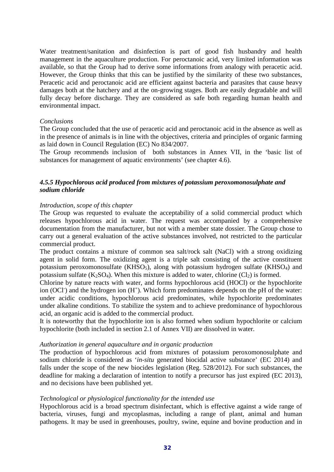Water treatment/sanitation and disinfection is part of good fish husbandry and health management in the aquaculture production. For peroctanoic acid, very limited information was available, so that the Group had to derive some informations from analogy with peracetic acid. However, the Group thinks that this can be justified by the similarity of these two substances, Peracetic acid and peroctanoic acid are efficient against bacteria and parasites that cause heavy damages both at the hatchery and at the on-growing stages. Both are easily degradable and will fully decay before discharge. They are considered as safe both regarding human health and environmental impact.

### *Conclusions*

The Group concluded that the use of peracetic acid and peroctanoic acid in the absence as well as in the presence of animals is in line with the objectives, criteria and principles of organic farming as laid down in Council Regulation (EC) No 834/2007.

The Group recommends inclusion of both substances in Annex VII, in the 'basic list of substances for management of aquatic environments' (see chapter 4.6).

# *4.5.5 Hypochlorous acid produced from mixtures of potassium peroxomonosulphate and sodium chloride*

## *Introduction, scope of this chapter*

The Group was requested to evaluate the acceptability of a solid commercial product which releases hypochlorous acid in water. The request was accompanied by a comprehensive documentation from the manufacturer, but not with a member state dossier. The Group chose to carry out a general evaluation of the active substances involved, not restricted to the particular commercial product.

The product contains a mixture of common sea salt/rock salt (NaCl) with a strong oxidizing agent in solid form. The oxidizing agent is a triple salt consisting of the active constituent potassium peroxomonosulfate (KHSO<sub>5</sub>), along with potassium hydrogen sulfate (KHSO<sub>4</sub>) and potassium sulfate  $(K_2SO_4)$ . When this mixture is added to water, chlorine  $(Cl_2)$  is formed.

Chlorine by nature reacts with water, and forms hypochlorous acid (HOCl) or the hypochlorite ion (OCl<sup>-</sup>) and the hydrogen ion (H<sup>+</sup>). Which form predominates depends on the pH of the water: under acidic conditions, hypochlorous acid predominates, while hypochlorite predominates under alkaline conditions. To stabilize the system and to achieve predominance of hypochlorous acid, an organic acid is added to the commercial product.

It is noteworthy that the hypochlorite ion is also formed when sodium hypochlorite or calcium hypochlorite (both included in section 2.1 of Annex VII) are dissolved in water.

### *Authorization in general aquaculture and in organic production*

The production of hypochlorous acid from mixtures of potassium peroxomonosulphate and sodium chloride is considered as '*in-situ* generated biocidal active substance' (EC 2014) and falls under the scope of the new biocides legislation (Reg. 528/2012). For such substances, the deadline for making a declaration of intention to notify a precursor has just expired (EC 2013), and no decisions have been published yet.

### *Technological or physiological functionality for the intended use*

Hypochlorous acid is a broad spectrum disinfectant, which is effective against a wide range of bacteria, viruses, fungi and mycoplasmas, including a range of plant, animal and human pathogens. It may be used in greenhouses, poultry, swine, equine and bovine production and in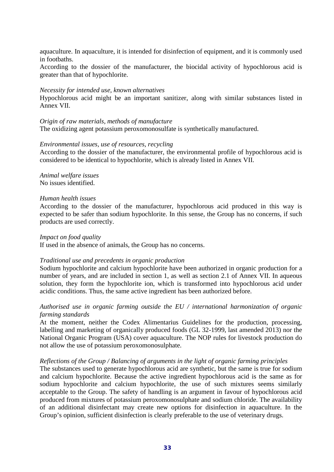aquaculture. In aquaculture, it is intended for disinfection of equipment, and it is commonly used in footbaths.

According to the dossier of the manufacturer, the biocidal activity of hypochlorous acid is greater than that of hypochlorite.

### *Necessity for intended use, known alternatives*

Hypochlorous acid might be an important sanitizer, along with similar substances listed in Annex VII.

#### *Origin of raw materials, methods of manufacture*

The oxidizing agent potassium peroxomonosulfate is synthetically manufactured.

### *Environmental issues, use of resources, recycling*

According to the dossier of the manufacturer, the environmental profile of hypochlorous acid is considered to be identical to hypochlorite, which is already listed in Annex VII.

*Animal welfare issues* No issues identified.

#### *Human health issues*

According to the dossier of the manufacturer, hypochlorous acid produced in this way is expected to be safer than sodium hypochlorite. In this sense, the Group has no concerns, if such products are used correctly.

#### *Impact on food quality*

If used in the absence of animals, the Group has no concerns.

#### *Traditional use and precedents in organic production*

Sodium hypochlorite and calcium hypochlorite have been authorized in organic production for a number of years, and are included in section 1, as well as section 2.1 of Annex VII. In aqueous solution, they form the hypochlorite ion, which is transformed into hypochlorous acid under acidic conditions. Thus, the same active ingredient has been authorized before.

## *Authorised use in organic farming outside the EU / international harmonization of organic farming standards*

At the moment, neither the Codex Alimentarius Guidelines for the production, processing, labelling and marketing of organically produced foods (GL 32-1999, last amended 2013) nor the National Organic Program (USA) cover aquaculture. The NOP rules for livestock production do not allow the use of potassium peroxomonosulphate.

#### *Reflections of the Group / Balancing of arguments in the light of organic farming principles*

The substances used to generate hypochlorous acid are synthetic, but the same is true for sodium and calcium hypochlorite. Because the active ingredient hypochlorous acid is the same as for sodium hypochlorite and calcium hypochlorite, the use of such mixtures seems similarly acceptable to the Group. The safety of handling is an argument in favour of hypochlorous acid produced from mixtures of potassium peroxomonosulphate and sodium chloride. The availability of an additional disinfectant may create new options for disinfection in aquaculture. In the Group's opinion, sufficient disinfection is clearly preferable to the use of veterinary drugs.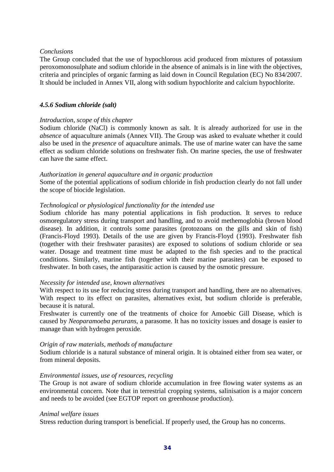### *Conclusions*

The Group concluded that the use of hypochlorous acid produced from mixtures of potassium peroxomonosulphate and sodium chloride in the absence of animals is in line with the objectives, criteria and principles of organic farming as laid down in Council Regulation (EC) No 834/2007. It should be included in Annex VII, along with sodium hypochlorite and calcium hypochlorite.

## *4.5.6 Sodium chloride (salt)*

## *Introduction, scope of this chapter*

Sodium chloride (NaCl) is commonly known as salt. It is already authorized for use in the *absence* of aquaculture animals (Annex VII). The Group was asked to evaluate whether it could also be used in the *presence* of aquaculture animals. The use of marine water can have the same effect as sodium chloride solutions on freshwater fish. On marine species, the use of freshwater can have the same effect.

## *Authorization in general aquaculture and in organic production*

Some of the potential applications of sodium chloride in fish production clearly do not fall under the scope of biocide legislation.

# *Technological or physiological functionality for the intended use*

Sodium chloride has many potential applications in fish production. It serves to reduce osmoregulatory stress during transport and handling, and to avoid methemoglobia (brown blood disease). In addition, it controls some parasites (protozoans on the gills and skin of fish) (Francis-Floyd 1993). Details of the use are given by Francis-Floyd (1993). Freshwater fish (together with their freshwater parasites) are exposed to solutions of sodium chloride or sea water. Dosage and treatment time must be adapted to the fish species and to the practical conditions. Similarly, marine fish (together with their marine parasites) can be exposed to freshwater. In both cases, the antiparasitic action is caused by the osmotic pressure.

## *Necessity for intended use, known alternatives*

With respect to its use for reducing stress during transport and handling, there are no alternatives. With respect to its effect on parasites, alternatives exist, but sodium chloride is preferable, because it is natural.

Freshwater is currently one of the treatments of choice for Amoebic Gill Disease, which is caused by *Neoparamoeba perurans,* a parasome. It has no toxicity issues and dosage is easier to manage than with hydrogen peroxide.

## *Origin of raw materials, methods of manufacture*

Sodium chloride is a natural substance of mineral origin. It is obtained either from sea water, or from mineral deposits.

## *Environmental issues, use of resources, recycling*

The Group is not aware of sodium chloride accumulation in free flowing water systems as an environmental concern. Note that in terrestrial cropping systems, salinisation is a major concern and needs to be avoided (see EGTOP report on greenhouse production).

## *Animal welfare issues*

Stress reduction during transport is beneficial. If properly used, the Group has no concerns.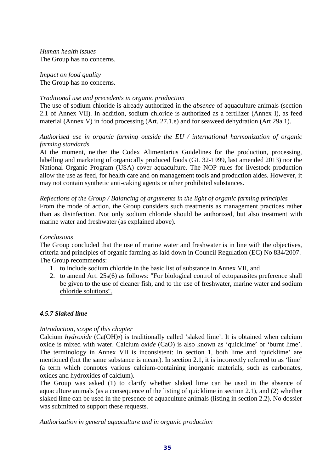*Human health issues* The Group has no concerns.

*Impact on food quality*  The Group has no concerns.

# *Traditional use and precedents in organic production*

The use of sodium chloride is already authorized in the *absence* of aquaculture animals (section 2.1 of Annex VII). In addition, sodium chloride is authorized as a fertilizer (Annex I), as feed material (Annex V) in food processing (Art. 27.1.e) and for seaweed dehydration (Art 29a.1).

# *Authorised use in organic farming outside the EU / international harmonization of organic farming standards*

At the moment, neither the Codex Alimentarius Guidelines for the production, processing, labelling and marketing of organically produced foods (GL 32-1999, last amended 2013) nor the National Organic Program (USA) cover aquaculture. The NOP rules for livestock production allow the use as feed, for health care and on management tools and production aides. However, it may not contain synthetic anti-caking agents or other prohibited substances.

# *Reflections of the Group / Balancing of arguments in the light of organic farming principles*

From the mode of action, the Group considers such treatments as management practices rather than as disinfection. Not only sodium chloride should be authorized, but also treatment with marine water and freshwater (as explained above).

## *Conclusions*

The Group concluded that the use of marine water and freshwater is in line with the objectives, criteria and principles of organic farming as laid down in Council Regulation (EC) No 834/2007. The Group recommends:

- 1. to include sodium chloride in the basic list of substance in Annex VII, and
- 2. to amend Art. 25s(6) as follows: "For biological control of ectoparasites preference shall be given to the use of cleaner fish, and to the use of freshwater, marine water and sodium chloride solutions".

# *4.5.7 Slaked lime*

## *Introduction, scope of this chapter*

Calcium *hydroxide* (Ca(OH)2) is traditionally called 'slaked lime'. It is obtained when calcium oxide is mixed with water. Calcium *oxide* (CaO) is also known as 'quicklime' or 'burnt lime'. The terminology in Annex VII is inconsistent: In section 1, both lime and 'quicklime' are mentioned (but the same substance is meant). In section 2.1, it is incorrectly referred to as 'lime' (a term which connotes various calcium-containing inorganic materials, such as carbonates, oxides and hydroxides of calcium).

The Group was asked (1) to clarify whether slaked lime can be used in the absence of aquaculture animals (as a consequence of the listing of quicklime in section 2.1), and (2) whether slaked lime can be used in the presence of aquaculture animals (listing in section 2.2). No dossier was submitted to support these requests.

## *Authorization in general aquaculture and in organic production*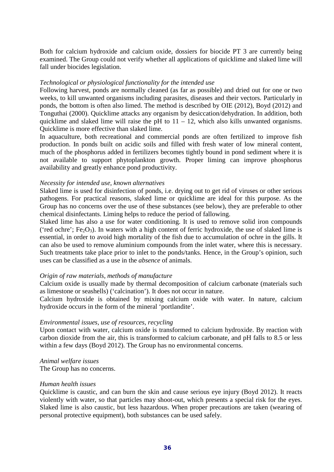Both for calcium hydroxide and calcium oxide, dossiers for biocide PT 3 are currently being examined. The Group could not verify whether all applications of quicklime and slaked lime will fall under biocides legislation.

### *Technological or physiological functionality for the intended use*

Following harvest, ponds are normally cleaned (as far as possible) and dried out for one or two weeks, to kill unwanted organisms including parasites, diseases and their vectors. Particularly in ponds, the bottom is often also limed. The method is described by OIE (2012), Boyd (2012) and Tonguthai (2000). Quicklime attacks any organism by desiccation/dehydration. In addition, both quicklime and slaked lime will raise the pH to  $11 - 12$ , which also kills unwanted organisms. Quicklime is more effective than slaked lime.

In aquaculture, both recreational and commercial ponds are often fertilized to improve fish production. In ponds built on acidic soils and filled with fresh water of low mineral content, much of the phosphorus added in fertilizers becomes tightly bound in pond sediment where it is not available to support phytoplankton growth. Proper liming can improve phosphorus availability and greatly enhance pond productivity.

## *Necessity for intended use, known alternatives*

Slaked lime is used for disinfection of ponds, i.e. drying out to get rid of viruses or other serious pathogens. For practical reasons, slaked lime or quicklime are ideal for this purpose. As the Group has no concerns over the use of these substances (see below), they are preferable to other chemical disinfectants. Liming helps to reduce the period of fallowing.

Slaked lime has also a use for water conditioning. It is used to remove solid iron compounds ('red ochre';  $Fe<sub>2</sub>O<sub>3</sub>$ ). In waters with a high content of ferric hydroxide, the use of slaked lime is essential, in order to avoid high mortality of the fish due to accumulation of ochre in the gills. It can also be used to remove aluminium compounds from the inlet water, where this is necessary. Such treatments take place prior to inlet to the ponds/tanks. Hence, in the Group's opinion, such uses can be classified as a use in the *absence* of animals.

## *Origin of raw materials, methods of manufacture*

Calcium oxide is usually made by thermal decomposition of calcium carbonate (materials such as limestone or seashells) ('calcination'). It does not occur in nature.

Calcium hydroxide is obtained by mixing calcium oxide with water. In nature, calcium hydroxide occurs in the form of the mineral 'portlandite'.

### *Environmental issues, use of resources, recycling*

Upon contact with water, calcium oxide is transformed to calcium hydroxide. By reaction with carbon dioxide from the air, this is transformed to calcium carbonate, and pH falls to 8.5 or less within a few days (Boyd 2012). The Group has no environmental concerns.

## *Animal welfare issues*

The Group has no concerns.

### *Human health issues*

Quicklime is caustic, and can burn the skin and cause serious eye injury (Boyd 2012). It reacts violently with water, so that particles may shoot-out, which presents a special risk for the eyes. Slaked lime is also caustic, but less hazardous. When proper precautions are taken (wearing of personal protective equipment), both substances can be used safely.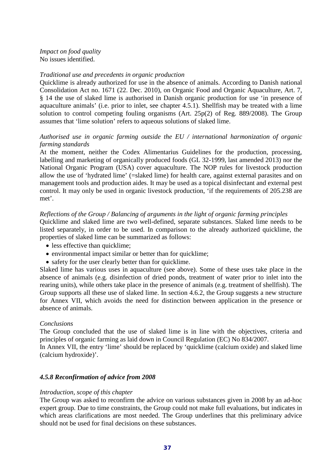*Impact on food quality*  No issues identified.

## *Traditional use and precedents in organic production*

Quicklime is already authorized for use in the absence of animals. According to Danish national Consolidation Act no. 1671 (22. Dec. 2010), on Organic Food and Organic Aquaculture, Art. 7, § 14 the use of slaked lime is authorised in Danish organic production for use 'in presence of aquaculture animals' (i.e. prior to inlet, see chapter 4.5.1). Shellfish may be treated with a lime solution to control competing fouling organisms (Art. 25p(2) of Reg. 889/2008). The Group assumes that 'lime solution' refers to aqueous solutions of slaked lime.

# *Authorised use in organic farming outside the EU / international harmonization of organic farming standards*

At the moment, neither the Codex Alimentarius Guidelines for the production, processing, labelling and marketing of organically produced foods (GL 32-1999, last amended 2013) nor the National Organic Program (USA) cover aquaculture. The NOP rules for livestock production allow the use of 'hydrated lime' (=slaked lime) for health care, against external parasites and on management tools and production aides. It may be used as a topical disinfectant and external pest control. It may only be used in organic livestock production, 'if the requirements of 205.238 are met'.

# *Reflections of the Group / Balancing of arguments in the light of organic farming principles*

Quicklime and slaked lime are two well-defined, separate substances. Slaked lime needs to be listed separately, in order to be used. In comparison to the already authorized quicklime, the properties of slaked lime can be summarized as follows:

- less effective than quicklime:
- environmental impact similar or better than for quicklime;
- safety for the user clearly better than for quicklime.

Slaked lime has various uses in aquaculture (see above). Some of these uses take place in the absence of animals (e.g. disinfection of dried ponds, treatment of water prior to inlet into the rearing units), while others take place in the presence of animals (e.g. treatment of shellfish). The Group supports all these use of slaked lime. In section 4.6.2, the Group suggests a new structure for Annex VII, which avoids the need for distinction between application in the presence or absence of animals.

## *Conclusions*

The Group concluded that the use of slaked lime is in line with the objectives, criteria and principles of organic farming as laid down in Council Regulation (EC) No 834/2007.

In Annex VII, the entry 'lime' should be replaced by 'quicklime (calcium oxide) and slaked lime (calcium hydroxide)'.

# *4.5.8 Reconfirmation of advice from 2008*

## *Introduction, scope of this chapter*

The Group was asked to reconfirm the advice on various substances given in 2008 by an ad-hoc expert group. Due to time constraints, the Group could not make full evaluations, but indicates in which areas clarifications are most needed. The Group underlines that this preliminary advice should not be used for final decisions on these substances.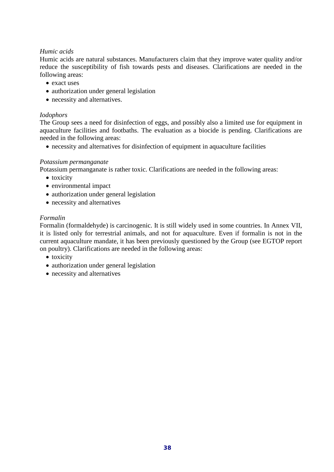# *Humic acids*

Humic acids are natural substances. Manufacturers claim that they improve water quality and/or reduce the susceptibility of fish towards pests and diseases. Clarifications are needed in the following areas:

- exact uses
- authorization under general legislation
- necessity and alternatives.

## *Iodophors*

The Group sees a need for disinfection of eggs, and possibly also a limited use for equipment in aquaculture facilities and footbaths. The evaluation as a biocide is pending. Clarifications are needed in the following areas:

• necessity and alternatives for disinfection of equipment in aquaculture facilities

## *Potassium permanganate*

Potassium permanganate is rather toxic. Clarifications are needed in the following areas:

- toxicity
- environmental impact
- authorization under general legislation
- necessity and alternatives

# *Formalin*

Formalin (formaldehyde) is carcinogenic. It is still widely used in some countries. In Annex VII, it is listed only for terrestrial animals, and not for aquaculture. Even if formalin is not in the current aquaculture mandate, it has been previously questioned by the Group (see EGTOP report on poultry). Clarifications are needed in the following areas:

- toxicity
- authorization under general legislation
- necessity and alternatives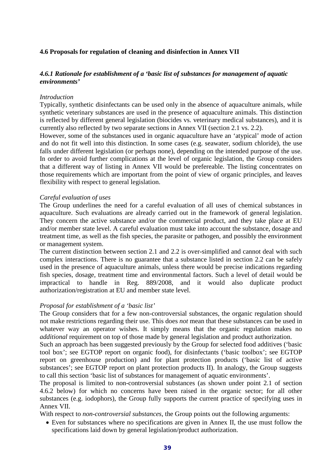## **4.6 Proposals for regulation of cleaning and disinfection in Annex VII**

# *4.6.1 Rationale for establishment of a 'basic list of substances for management of aquatic environments'*

### *Introduction*

Typically, synthetic disinfectants can be used only in the absence of aquaculture animals, while synthetic veterinary substances are used in the presence of aquaculture animals. This distinction is reflected by different general legislation (biocides vs. veterinary medical substances), and it is currently also reflected by two separate sections in Annex VII (section 2.1 vs. 2.2).

However, some of the substances used in organic aquaculture have an 'atypical' mode of action and do not fit well into this distinction. In some cases (e.g. seawater, sodium chloride), the use falls under different legislation (or perhaps none), depending on the intended purpose of the use. In order to avoid further complications at the level of organic legislation, the Group considers that a different way of listing in Annex VII would be prefereable. The listing concentrates on those requirements which are important from the point of view of organic principles, and leaves flexibility with respect to general legislation.

### *Careful evaluation of uses*

The Group underlines the need for a careful evaluation of all uses of chemical substances in aquaculture. Such evaluations are already carried out in the framework of general legislation. They concern the active substance and/or the commercial product, and they take place at EU and/or member state level. A careful evaluation must take into account the substance, dosage and treatment time, as well as the fish species, the parasite or pathogen, and possibly the environment or management system.

The current distinction between section 2.1 and 2.2 is over-simplified and cannot deal with such complex interactions. There is no guarantee that a substance listed in section 2.2 can be safely used in the presence of aquaculture animals, unless there would be precise indications regarding fish species, dosage, treatment time and environmental factors. Such a level of detail would be impractical to handle in Reg. 889/2008, and it would also duplicate product authorization/registration at EU and member state level.

## *Proposal for establishment of a 'basic list'*

The Group considers that for a few non-controversial substances, the organic regulation should not make restrictions regarding their use. This does *not* mean that these substances can be used in whatever way an operator wishes. It simply means that the organic regulation makes no *additional* requirement on top of those made by general legislation and product authorization.

Such an approach has been suggested previously by the Group for selected food additives ('basic tool box'; see EGTOP report on organic food), for disinfectants ('basic toolbox'; see EGTOP report on greenhouse production) and for plant protection products ('basic list of active substances'; see EGTOP report on plant protection products II). In analogy, the Group suggests to call this section 'basic list of substances for management of aquatic environments'.

The proposal is limited to non-controversial substances (as shown under point 2.1 of section 4.6.2 below) for which no concerns have been raised in the organic sector; for all other substances (e.g. iodophors), the Group fully supports the current practice of specifying uses in Annex VII.

With respect to *non-controversial substances*, the Group points out the following arguments:

• Even for substances where no specifications are given in Annex II, the use must follow the specifications laid down by general legislation/product authorization.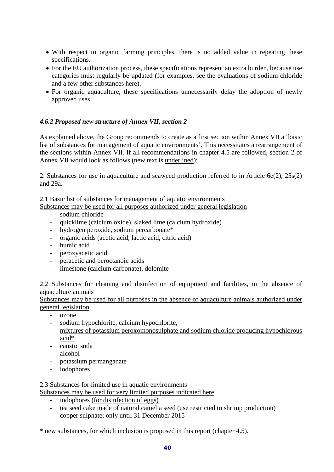- With respect to organic farming principles, there is no added value in repeating these specifications.
- For the EU authorization process, these specifications represent an extra burden, because use categories must regularly be updated (for examples, see the evaluations of sodium chloride and a few other substances here).
- For organic aquaculture, these specifications unnecessarily delay the adoption of newly approved uses.

# *4.6.2 Proposed new structure of Annex VII, section 2*

As explained above, the Group recommends to create as a first section within Annex VII a 'basic list of substances for management of aquatic environments'. This necessitates a rearrangement of the sections within Annex VII. If all recommendations in chapter 4.5 are followed, section 2 of Annex VII would look as follows (new text is underlined):

2. Substances for use in aquaculture and seaweed production referred to in Article 6e(2), 25s(2) and 29a.

# 2.1 Basic list of substances for management of aquatic environments

Substances may be used for all purposes authorized under general legislation

- sodium chloride
- quicklime (calcium oxide), slaked lime (calcium hydroxide)
- hydrogen peroxide, sodium percarbonate\*
- organic acids (acetic acid, lactic acid, citric acid)
- humic acid
- peroxyacetic acid
- peracetic and peroctanoic acids
- limestone (calcium carbonate), dolomite

2.2 Substances for cleaning and disinfection of equipment and facilities, in the absence of aquaculture animals

Substances may be used for all purposes in the absence of aquaculture animals authorized under general legislation

- ozone
- sodium hypochlorite, calcium hypochlorite,
- mixtures of potassium peroxomonosulphate and sodium chloride producing hypochlorous acid\*
- caustic soda
- alcohol
- potassium permanganate
- iodophores

# 2.3 Substances for limited use in aquatic environments

- Substances may be used for very limited purposes indicated here
	- iodophores (for disinfection of eggs)
	- tea seed cake made of natural camelia seed (use restricted to shrimp production)
	- copper sulphate; only until 31 December 2015

\* new substances, for which inclusion is proposed in this report (chapter 4.5).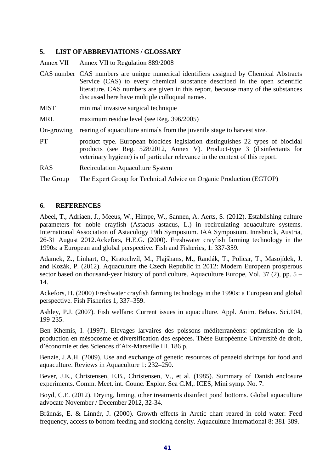# **5. LIST OF ABBREVIATIONS / GLOSSARY**

Annex VII Annex VII to Regulation 889/2008

- CAS number CAS numbers are unique numerical identifiers assigned by Chemical Abstracts Service (CAS) to every chemical substance described in the open scientific literature. CAS numbers are given in this report, because many of the substances discussed here have multiple colloquial names.
- MIST minimal invasive surgical technique
- MRL maximum residue level (see Reg. 396/2005)
- On-growing rearing of aquaculture animals from the juvenile stage to harvest size.
- PT product type. European biocides legislation distinguishes 22 types of biocidal products (see Reg. 528/2012, Annex V). Product-type 3 (disinfectants for veterinary hygiene) is of particular relevance in the context of this report.
- RAS Recirculation Aquaculture System

The Group The Expert Group for Technical Advice on Organic Production (EGTOP)

## **6. REFERENCES**

Abeel, T., Adriaen, J., Meeus, W., Himpe, W., Sannen, A. Aerts, S. (2012). Establishing culture parameters for noble crayfish (Astacus astacus, L.) in recirculating aquaculture systems. International Association of Astacology 19th Symposium. IAA Symposium. Innsbruck, Austria, 26-31 August 2012.Ackefors, H.E.G. (2000). Freshwater crayfish farming technology in the 1990s: a European and global perspective. Fish and Fisheries, 1: 337-359.

Adamek, Z., Linhart, O., Kratochvíl, M., Flajšhans, M., Randák, T., Policar, T., Masojídek, J. and Kozák, P. (2012). Aquaculture the Czech Republic in 2012: Modern European prosperous sector based on thousand-year history of pond culture. Aquaculture Europe, Vol. 37 (2), pp. 5 – 14.

Ackefors, H. (2000) Freshwater crayfish farming technology in the 1990s: a European and global perspective. Fish Fisheries 1, 337–359.

Ashley, P.J. (2007). Fish welfare: Current issues in aquaculture. Appl. Anim. Behav. Sci.104, 199-235.

Ben Khemis, I. (1997). Elevages larvaires des poissons méditerranéens: optimisation de la production en mésocosme et diversification des espèces. Thèse Européenne Université de droit, d'économie et des Sciences d'Aix-Marseille III. 186 p.

Benzie, J.A.H. (2009). Use and exchange of genetic resources of penaeid shrimps for food and aquaculture. Reviews in Aquaculture 1: 232–250.

Bever, J.E., Christensen, E.B., Christensen, V., et al. (1985). Summary of Danish enclosure experiments. Comm. Meet. int. Counc. Explor. Sea C.M,. ICES, Mini symp. No. 7.

Boyd, C.E. (2012). Drying, liming, other treatments disinfect pond bottoms. Global aquaculture advocate November / December 2012, 32-34.

Brännäs, E. & Linnér, J. (2000). Growth effects in Arctic charr reared in cold water: Feed frequency, access to bottom feeding and stocking density. Aquaculture International 8: 381-389.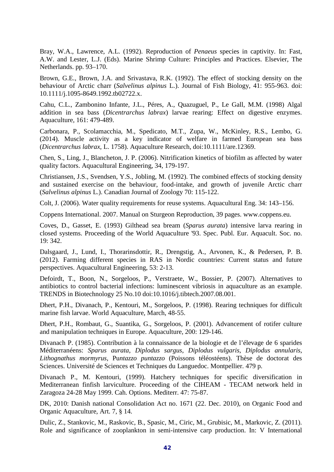Bray, W.A., Lawrence, A.L. (1992). Reproduction of *Penaeus* species in captivity. In: Fast, A.W. and Lester, L.J. (Eds). Marine Shrimp Culture: Principles and Practices. Elsevier, The Netherlands. pp. 93–170.

Brown, G.E., Brown, J.A. and Srivastava, R.K. (1992). The effect of stocking density on the behaviour of Arctic charr (*Salvelinus alpinus* L.). Journal of Fish Biology, 41: 955-963. doi: 10.1111/j.1095-8649.1992.tb02722.x.

Cahu, C.L., Zambonino Infante, J.L., Péres, A., Quazuguel, P., Le Gall, M.M. (1998) Algal addition in sea bass (*Dicentrarchus labrax*) larvae rearing: Effect on digestive enzymes. Aquaculture, 161: 479-489.

Carbonara, P., Scolamacchia, M., Spedicato, M.T., Zupa, W., McKinley, R.S., Lembo, G. (2014). Muscle activity as a key indicator of welfare in farmed European sea bass (*Dicentrarchus labrax*, L. 1758). Aquaculture Research, doi:10.1111/are.12369.

Chen, S., Ling, J., Blancheton, J. P. (2006). Nitrification kinetics of biofilm as affected by water quality factors. Aquacultural Engineering, 34, 179-197.

Christiansen, J.S., Svendsen, Y.S., Jobling, M. (1992). The combined effects of stocking density and sustained exercise on the behaviour, food-intake, and growth of juvenile Arctic charr (*Salvelinus alpinus* L.). Canadian Journal of Zoology 70: 115-122.

Colt, J. (2006). Water quality requirements for reuse systems. Aquacultural Eng. 34: 143–156.

Coppens International. 2007. Manual on Sturgeon Reproduction, 39 pages. www.coppens.eu.

Coves, D., Gasset, E. (1993) Gilthead sea bream (*Sparus aurata*) intensive larva rearing in closed systems. Proceeding of the World Aquaculture '93. Spec. Publ. Eur. Aquacult. Soc. no. 19: 342.

Dalsgaard, J., Lund, I., Thorarinsdottir, R., Drengstig, A., Arvonen, K., & Pedersen, P. B. (2012). Farming different species in RAS in Nordic countries: Current status and future perspectives. Aquacultural Engineering, 53: 2-13.

Defoirdt, T., Boon, N., Sorgeloos, P., Verstraete, W., Bossier, P. (2007). Alternatives to antibiotics to control bacterial infections: luminescent vibriosis in aquaculture as an example. TRENDS in Biotechnology 25 No.10 doi:10.1016/j.tibtech.2007.08.001.

Dhert, P.H., Divanach, P., Kentouri, M., Sorgeloos, P. (1998). Rearing techniques for difficult marine fish larvae. World Aquaculture, March, 48-55.

Dhert, P.H., Rombaut, G., Suantika, G., Sorgeloos, P. (2001). Advancement of rotifer culture and manipulation techniques in Europe. Aquaculture, 200: 129-146.

Divanach P. (1985). Contribution à la connaissance de la biologie et de l'élevage de 6 sparides Méditerranéens: *Sparus aurata*, *Diplodus sargus*, *Diplodus vulgaris*, *Diplodus annularis*, *Lithognathus mormyrus*, Pu*ntazzo puntazzo* (Poissons téléostéens). Thèse de doctorat des Sciences. Université de Sciences et Techniques du Languedoc. Montpellier. 479 p.

Divanach P., M. Kentouri, (1999). Hatchery techniques for specific diversification in Mediterranean finfish larviculture. Proceeding of the CIHEAM - TECAM network held in Zaragoza 24-28 May 1999. Cah. Options. Mediterr. 47: 75-87.

DK, 2010: Danish national Consolidation Act no. 1671 (22. Dec. 2010), on Organic Food and Organic Aquaculture, Art. 7, § 14.

Dulic, Z., Stankovic, M., Raskovic, B., Spasic, M., Ciric, M., Grubisic, M., Markovic, Z. (2011). Role and significance of zooplankton in semi-intensive carp production. In: V International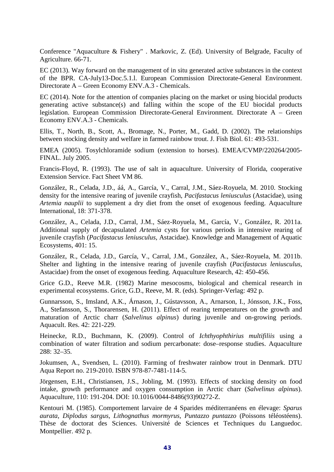Conference "Aquaculture & Fishery" . Markovic, Z. (Ed). University of Belgrade, Faculty of Agriculture. 66-71.

EC (2013). Way forward on the management of in situ generated active substances in the context of the BPR. CA-July13-Doc.5.1.l. European Commission Directorate-General Environment. Directorate A – Green Economy ENV.A.3 - Chemicals.

EC (2014). Note for the attention of companies placing on the market or using biocidal products generating active substance(s) and falling within the scope of the EU biocidal products legislation. European Commission Directorate-General Environment. Directorate A – Green Economy ENV.A.3 - Chemicals.

Ellis, T., North, B., Scott, A., Bromage, N., Porter, M., Gadd, D. (2002). The relationships between stocking density and welfare in farmed rainbow trout. J. Fish Biol. 61: 493-531.

EMEA (2005). Tosylchloramide sodium (extension to horses). EMEA/CVMP/220264/2005- FINAL. July 2005.

Francis-Floyd, R. (1993). The use of salt in aquaculture. University of Florida, cooperative Extension Service. Fact Sheet VM 86.

González, R., Celada, J.D., áá, A., García, V., Carral, J.M., Sáez-Royuela, M. 2010. Stocking density for the intensive rearing of juvenile crayfish, *Pacifastacus leniusculus* (Astacidae), using *Artemia nauplii* to supplement a dry diet from the onset of exogenous feeding. Aquaculture International, 18: 371-378.

González, A., Celada, J.D., Carral, J.M., Sáez-Royuela, M., García, V., González, R. 2011a. Additional supply of decapsulated *Artemia* cysts for various periods in intensive rearing of juvenile crayfish (*Pacifastacus leniusculus*, Astacidae). Knowledge and Management of Aquatic Ecosystems, 401: 15.

González, R., Celada, J.D., García, V., Carral, J.M., González, A., Sáez-Royuela, M. 2011b. Shelter and lighting in the intensive rearing of juvenile crayfish (*Pacifastacus leniusculus*, Astacidae) from the onset of exogenous feeding. Aquaculture Research, 42: 450-456.

Grice G.D., Reeve M.R. (1982) Marine mesocosms, biological and chemical research in experimental ecosystems. Grice, G.D., Reeve, M. R. (eds). Springer-Verlag: 492 p.

Gunnarsson, S., Imsland, A.K., Árnason, J., Gústavsson, A., Arnarson, I., Jónsson, J.K., Foss, A., Stefansson, S., Thorarensen, H. (2011). Effect of rearing temperatures on the growth and maturation of Arctic charr (*Salvelinus alpinus*) during juvenile and on-growing periods. Aquacult. Res. 42: 221-229.

Heinecke, R.D., Buchmann, K. (2009). Control of *Ichthyophthirius multifiliis* using a combination of water filtration and sodium percarbonate: dose–response studies. Aquaculture 288: 32–35.

Jokumsen, A., Svendsen, L. (2010). Farming of freshwater rainbow trout in Denmark. DTU Aqua Report no. 219-2010. ISBN 978-87-7481-114-5.

Jörgensen, E.H., Christiansen, J.S., Jobling, M. (1993). Effects of stocking density on food intake, growth performance and oxygen consumption in Arctic charr (*Salvelinus alpinus*). Aquaculture, 110: 191-204. DOI: 10.1016/0044-8486(93)90272-Z.

Kentouri M. (1985). Comportement larvaire de 4 Sparides méditerranéens en élevage: *Sparus aurata*, *Diplodus sargus*, *Lithognathus mormyrus*, *Puntazzo puntazzo* (Poissons téléostéens). Thèse de doctorat des Sciences. Université de Sciences et Techniques du Languedoc. Montpellier. 492 p.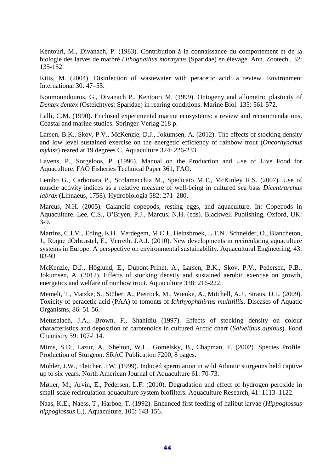Kentouri, M., Divanach, P. (1983). Contribution à la connaissance du comportement et de la biologie des larves de marbré *Lithognathus mormyrus* (Sparidae) en élevage. Ann. Zootech., 32: 135-152.

Kitis, M. (2004). Disinfection of wastewater with peracetic acid: a review. Environment International 30: 47–55.

Koumoundouros, G., Divanach P., Kentouri M. (1999). Ontogeny and allometric plasticity of *Dentex dentex* (Osteichtyes: Sparidae) in rearing conditions. Marine Biol. 135: 561-572.

Lalli, C.M. (1990). Enclosed experimental marine ecosystems: a review and recommendations. Coastal and marine studies. Springer-Verlag 218 p.

Larsen, B.K., Skov, P.V., McKenzie, D.J., Jokumsen, A. (2012). The effects of stocking density and low level sustained exercise on the energetic efficiency of rainbow trout (*Oncorhynchus mykiss*) reared at 19 degrees C. Aquaculture 324: 226-233.

Lavens, P., Sorgeloos, P. (1996). Manual on the Production and Use of Live Food for Aquaculture. FAO Fisheries Technical Paper 361, FAO.

Lembo G., Carbonara P., Scolamacchia M., Spedicato M.T., McKinley R.S. (2007). Use of muscle activity indices as a relative measure of well-being in cultured sea bass *Dicentrarchus labrax* (Linnaeus, 1758). Hydrobiologia 582: 271–280.

Marcus, N.H. (2005). Calanoid copepods, resting eggs, and aquaculture. In: Copepods in Aquaculture. Lee, C.S., O'Bryen, P.J., Marcus, N.H. (eds). Blackwell Publishing, Oxford, UK: 3-9.

Martins, C.I.M., Eding, E.H., Verdegem, M.C.J., Heinsbroek, L.T.N., Schneider, O., Blancheton, J., Roque dÒrbcastel, E., Verreth, J.A.J. (2010). New developments in recirculating aquaculture systems in Europe: A perspective on environmental sustainability. Aquacultural Engineering, 43: 83-93.

McKenzie, D.J., Höglund, E., Dupont-Prinet, A., Larsen, B.K., Skov, P.V., Pedersen, P.B., Jokumsen, A. (2012). Effects of stocking density and sustained aerobic exercise on growth, energetics and welfare of rainbow trout. Aquaculture 338: 216-222.

Meinelt, T., Matzke, S., Stüber, A., Pietrock, M., Wienke, A., Mitchell, A.J., Straus, D.L. (2009). Toxicity of peracetic acid (PAA) to tomonts of *Ichthyophthirius multifiliis*. Diseases of Aquatic Organisms, 86: 51-56.

Metusalach, J.A., Brown, F., Shahidiu (1997). Effects of stocking density on colour characteristics and deposition of carotenoids in cultured Arctic charr (*Salvelinus alpinus*). Food Chemistry 59: 107-l 14.

Mims, S.D., Lazur, A., Shelton, W.L., Gomelsky, B., Chapman, F. (2002). Species Profile. Production of Sturgeon. SRAC Publication 7200, 8 pages.

Mohler, J.W., Fletcher, J.W. (1999). Induced spermiation in wild Atlantic sturgeons held captive up to six years. North American Journal of Aquaculture 61: 70-73.

Møller, M., Arvin, E., Pedersen, L.F. (2010). Degradation and effect of hydrogen peroxide in small-scale recirculation aquaculture system biofilters. Aquaculture Research, 41: 1113–1122.

Naas, K.E., Naess, T., Harboe, T. (1992). Enhanced first feeding of halibut larvae (*Hippoglossus hippoglossus* L.). Aquaculture, 105: 143-156.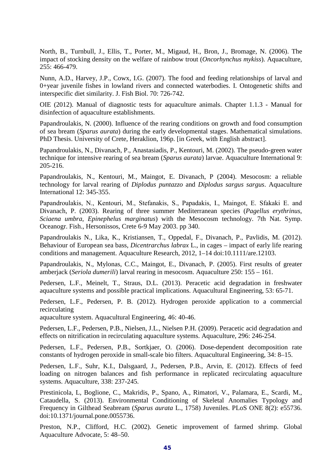North, B., Turnbull, J., Ellis, T., Porter, M., Migaud, H., Bron, J., Bromage, N. (2006). The impact of stocking density on the welfare of rainbow trout (*Oncorhynchus mykiss*). Aquaculture, 255: 466-479.

Nunn, A.D., Harvey, J.P., Cowx, I.G. (2007). The food and feeding relationships of larval and 0+year juvenile fishes in lowland rivers and connected waterbodies. I. Ontogenetic shifts and interspecific diet similarity. J. Fish Biol. 70: 726-742.

OIE (2012). Manual of diagnostic tests for aquaculture animals. Chapter 1.1.3 - Manual for disinfection of aquaculture establishments.

Papandroulakis, N. (2000). Influence of the rearing conditions on growth and food consumption of sea bream (*Sparus aurata*) during the early developmental stages. Mathematical simulations. PhD Thesis. University of Crete, Heraklion, 196p. [in Greek, with English abstract].

Papandroulakis, N., Divanach, P., Anastasiadis, P., Kentouri, M. (2002). The pseudo-green water technique for intensive rearing of sea bream (*Sparus aurata*) larvae. Aquaculture International 9: 205-216.

Papandroulakis, N., Kentouri, M., Maingot, E. Divanach, P (2004). Mesocosm: a reliable technology for larval rearing of *Diplodus puntazzo* and *Diplodus sargus sargus*. Aquaculture International 12: 345-355.

Papandroulakis, N., Kentouri, M., Stefanakis, S., Papadakis, I., Maingot, E. Sfakaki Ε. and Divanach, P. (2003). Rearing of three summer Mediterranean species (*Pagellus erythrinus*, *Sciaena umbra*, *Epinephelus marginatus*) with the Mesocosm technology. 7th Nat. Symp. Oceanogr. Fish., Hersonissos, Crete 6-9 May 2003. pp 340.

Papandroulakis N., Lika, K., Kristiansen, T., Oppedal, F., Divanach, P., Pavlidis, M. (2012). Behaviour of European sea bass, *Dicentrarchus labrax* L., in cages – impact of early life rearing conditions and management. Aquaculture Research, 2012, 1–14 doi:10.1111/are.12103.

Papandroulakis, N., Mylonas, C.C., Maingot, E., Divanach, P. (2005). First results of greater amberjack (*Seriola dumerili*) larval rearing in mesocosm. Aquaculture 250: 155 – 161.

Pedersen, L.F., Meinelt, T., Straus, D.L. (2013). Peracetic acid degradation in freshwater aquaculture systems and possible practical implications. Aquacultural Engineering, 53: 65-71.

Pedersen, L.F., Pedersen, P. B. (2012). Hydrogen peroxide application to a commercial recirculating

aquaculture system. Aquacultural Engineering, 46: 40-46.

Pedersen, L.F., Pedersen, P.B., Nielsen, J.L., Nielsen P.H. (2009). Peracetic acid degradation and effects on nitrification in recirculating aquaculture systems. Aquaculture, 296: 246-254.

Pedersen, L.F., Pedersen, P.B., Sortkjaer, O. (2006). Dose-dependent decomposition rate constants of hydrogen peroxide in small-scale bio filters. Aquacultural Engineering, 34: 8–15.

Pedersen, L.F., Suhr, K.I., Dalsgaard, J., Pedersen, P.B., Arvin, E. (2012). Effects of feed loading on nitrogen balances and fish performance in replicated recirculating aquaculture systems. Aquaculture, 338: 237-245.

Prestinicola, L, Boglione, C., Makridis, P., Spano, A., Rimatori, V., Palamara, E., Scardi, M., Cataudella, S. (2013). Environmental Conditioning of Skeletal Anomalies Typology and Frequency in Gilthead Seabream (*Sparus aurata* L., 1758) Juveniles. PLoS ONE 8(2): e55736. doi:10.1371/journal.pone.0055736.

Preston, N.P., Clifford, H.C. (2002). Genetic improvement of farmed shrimp. Global Aquaculture Advocate, 5: 48–50.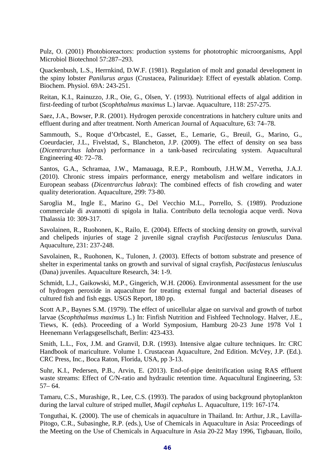Pulz, O. (2001) Photobioreactors: production systems for phototrophic microorganisms, Appl Microbiol Biotechnol 57:287–293.

Quackenbush, L.S., Herrnkind, D.W.F. (1981). Regulation of molt and gonadal development in the spiny lobster *Panilurus argus* (Crustacea, Palinuridae): Effect of eyestalk ablation. Comp. Biochem. Physiol. 69A: 243-251.

Reitan, K.I., Rainuzzo, J.R., Oie, G., Olsen, Y. (1993). Nutritional effects of algal addition in first-feeding of turbot (*Scophthalmus maximus* L.) larvae. Aquaculture, 118: 257-275.

Saez, J.A., Bowser, P.R. (2001). Hydrogen peroxide concentrations in hatchery culture units and effluent during and after treatment. North American Journal of Aquaculture, 63: 74–78.

Sammouth, S., Roque d'Orbcastel, E., Gasset, E., Lemarie, G., Breuil, G., Marino, G., Coeurdacier, J.L., Fivelstad, S., Blancheton, J.P. (2009). The effect of density on sea bass (*Dicentrarchus labrax*) performance in a tank-based recirculating system. Aquacultural Engineering 40: 72–78.

Santos, G.A., Schramaa, J.W., Mamauaga, R.E.P., Romboutb, J.H.W.M., Verretha, J.A.J. (2010). Chronic stress impairs performance, energy metabolism and welfare indicators in European seabass (*Dicentrarchus labrax*): The combined effects of fish crowding and water quality deterioration. Aquaculture, 299: 73-80.

Saroglia M., Ingle E., Marino G., Del Vecchio M.L., Porrello, S. (1989). Produzione commerciale di avannotti di spigola in Italia. Contributo della tecnologia acque verdi. Nova Thalassia 10: 309-317.

Savolainen, R., Ruohonen, K., Railo, E. (2004). Effects of stocking density on growth, survival and chelipeds injuries of stage 2 juvenile signal crayfish *Pacifastacus leniusculus* Dana. Aquaculture, 231: 237-248.

Savolainen, R., Ruohonen, K., Tulonen, J. (2003). Effects of bottom substrate and presence of shelter in experimental tanks on growth and survival of signal crayfish, *Pacifastacus leniusculus* (Dana) juveniles. Aquaculture Research, 34: 1-9.

Schmidt, L.J., Gaikowski, M.P., Gingerich, W.H. (2006). Environmental assessment for the use of hydrogen peroxide in aquaculture for treating external fungal and bacterial diseases of cultured fish and fish eggs. USGS Report, 180 pp.

Scott A.P., Baynes S.M. (1979). The effect of unicellular algae on survival and growth of turbot larvae (*Scophthalmus maximus* L.) In: Finfish Nutrition and Fishfeed Technology. Halver, J.E., Tiews, K. (eds). Proceeding of a World Symposium, Hamburg 20-23 June 1978 Vol 1 Heenemann Verlagsgesellschaft, Berlin: 423-433.

Smith, L.L., Fox, J.M. and Granvil, D.R. (1993). Intensive algae culture techniques. In: CRC Handbook of mariculture. Volume 1. Crustacean Aquaculture, 2nd Edition. McVey, J.P. (Ed.). CRC Press, Inc., Boca Raton, Florida, USA, pp 3-13.

Suhr, K.I., Pedersen, P.B., Arvin, E. (2013). End-of-pipe denitrification using RAS effluent waste streams: Effect of C/N-ratio and hydraulic retention time. Aquacultural Engineering, 53:  $57-64.$ 

Tamaru, C.S., Murashige, R., Lee, C.S. (1993). The paradox of using background phytoplankton during the larval culture of striped mullet, *Mugil cephalus* L. Aquaculture, 119: 167-174.

Tonguthai, K. (2000). The use of chemicals in aquaculture in Thailand. In: Arthur, J.R., Lavilla-Pitogo, C.R., Subasinghe, R.P. (eds.), Use of Chemicals in Aquaculture in Asia: Proceedings of the Meeting on the Use of Chemicals in Aquaculture in Asia 20-22 May 1996, Tigbauan, Iloilo,